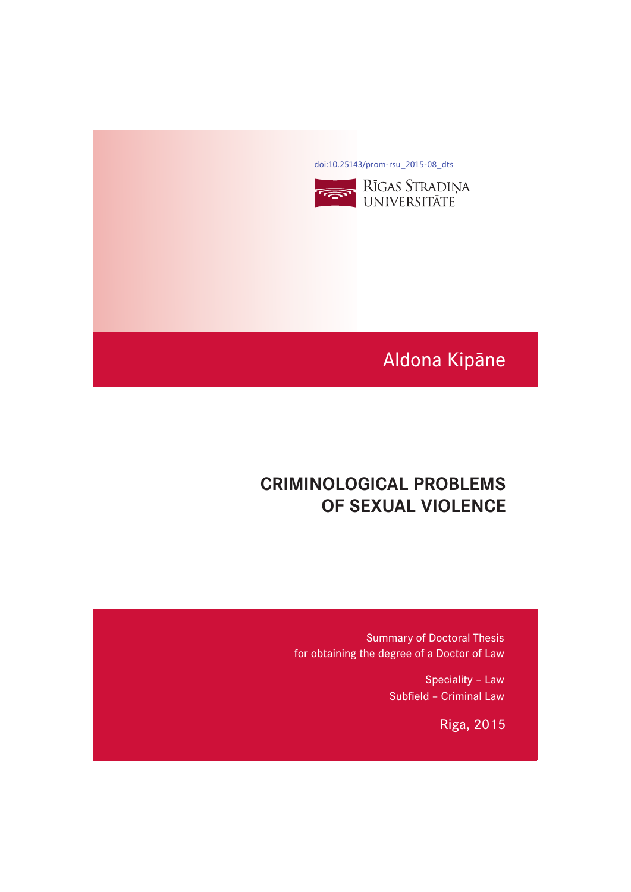[doi:10.25143/prom-rsu\\_2015-08\\_dts](https://doi.org/10.25143/prom-rsu_2015-08_dts)



# Aldona Kipāne

# **CRIMINOLOGICAL PROBLEMS CRIMINAL VIOLENCE OF SEXUAL VIOLENCE**

Summary of Doctoral Thesis for obtaining the degree of a Doctor of Law

> Speciality – Law Subfield – Criminal Law

> > Riga, 2015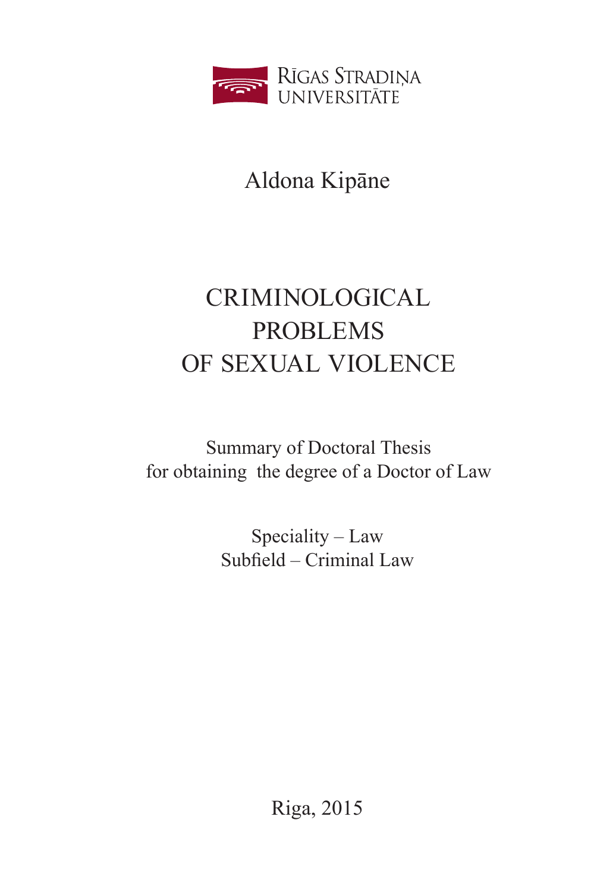

Aldona Kipāne

# CRIMINOLOGICAL PROBLEMS OF SEXUAL VIOLENCE

Summary of Doctoral Thesis for obtaining the degree of a Doctor of Law

> Speciality – Law Subfield – Criminal Law

> > Riga, 2015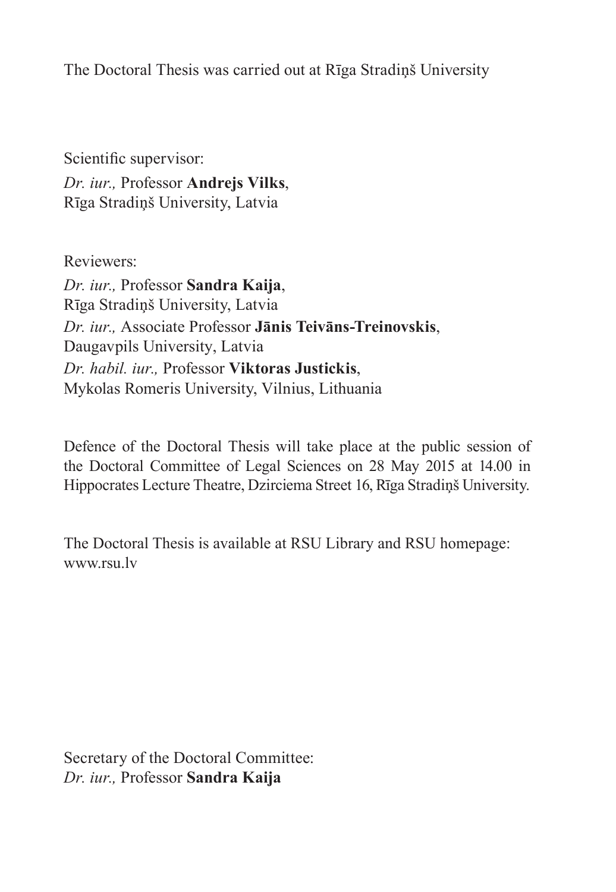The Doctoral Thesis was carried out at Rīga Stradiņš University

Scientific supervisor: *Dr. iur.,* Professor **Andrejs Vilks**, Rīga Stradiņš University, Latvia

Reviewers:

*Dr. iur.,* Professor **Sandra Kaija**, Rīga Stradiņš University, Latvia *Dr. iur.,* Associate Professor **Jānis Teivāns-Treinovskis**, Daugavpils University, Latvia *Dr. habil. iur.,* Professor **Viktoras Justickis**, Mykolas Romeris University, Vilnius, Lithuania

Defence of the Doctoral Thesis will take place at the public session of the Doctoral Committee of Legal Sciences on 28 May 2015 at 14.00 in Hippocrates Lecture Theatre, Dzirciema Street 16, Rīga Stradiņš University.

The Doctoral Thesis is available at RSU Library and RSU homepage: www.rsu.lv

Secretary of the Doctoral Committee: *Dr. iur.,* Professor **Sandra Kaija**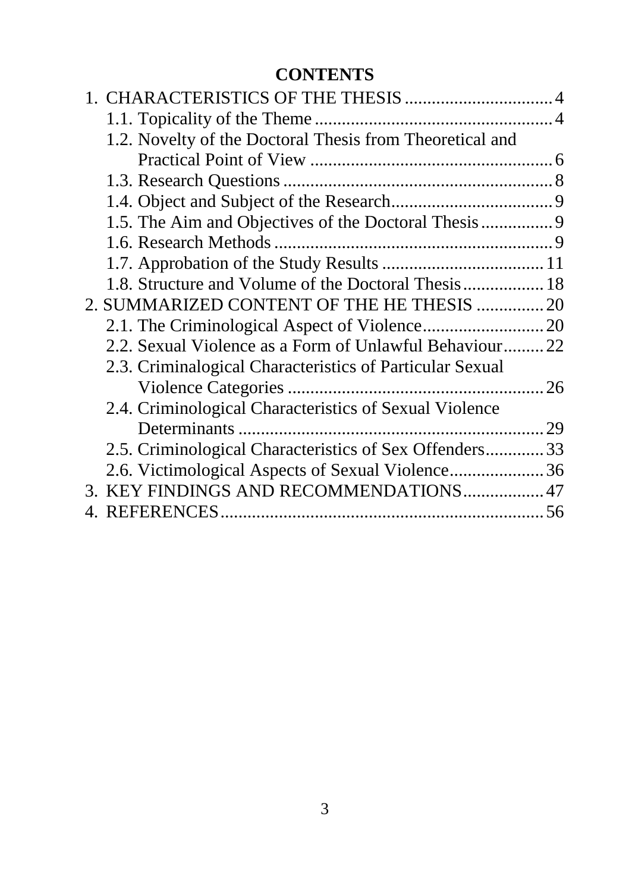# **CONTENTS**

| 1.2. Novelty of the Doctoral Thesis from Theoretical and |  |
|----------------------------------------------------------|--|
|                                                          |  |
|                                                          |  |
|                                                          |  |
|                                                          |  |
|                                                          |  |
|                                                          |  |
| 1.8. Structure and Volume of the Doctoral Thesis 18      |  |
| 2. SUMMARIZED CONTENT OF THE HE THESIS  20               |  |
|                                                          |  |
| 2.2. Sexual Violence as a Form of Unlawful Behaviour22   |  |
| 2.3. Criminalogical Characteristics of Particular Sexual |  |
|                                                          |  |
| 2.4. Criminological Characteristics of Sexual Violence   |  |
|                                                          |  |
| 2.5. Criminological Characteristics of Sex Offenders 33  |  |
|                                                          |  |
| 3. KEY FINDINGS AND RECOMMENDATIONS 47                   |  |
| <b>REFERENCES</b>                                        |  |
|                                                          |  |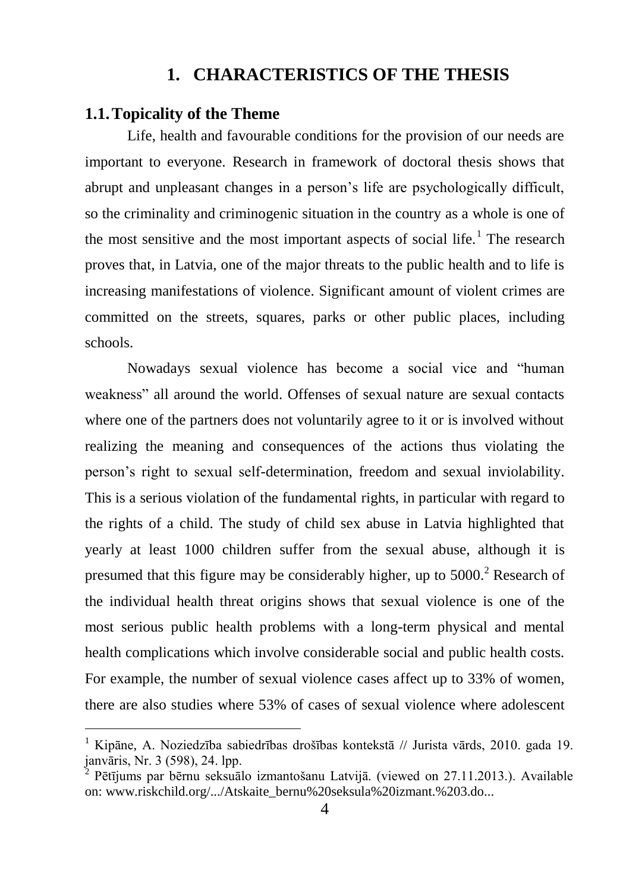# **1. CHARACTERISTICS OF THE THESIS**

## <span id="page-4-1"></span><span id="page-4-0"></span>**1.1.Topicality of the Theme**

<u>.</u>

Life, health and favourable conditions for the provision of our needs are important to everyone. Research in framework of doctoral thesis shows that abrupt and unpleasant changes in a person's life are psychologically difficult, so the criminality and criminogenic situation in the country as a whole is one of the most sensitive and the most important aspects of social life.<sup>1</sup> The research proves that, in Latvia, one of the major threats to the public health and to life is increasing manifestations of violence. Significant amount of violent crimes are committed on the streets, squares, parks or other public places, including schools.

Nowadays sexual violence has become a social vice and "human weakness" all around the world. Offenses of sexual nature are sexual contacts where one of the partners does not voluntarily agree to it or is involved without realizing the meaning and consequences of the actions thus violating the person's right to sexual self-determination, freedom and sexual inviolability. This is a serious violation of the fundamental rights, in particular with regard to the rights of a child. The study of child sex abuse in Latvia highlighted that yearly at least 1000 children suffer from the sexual abuse, although it is presumed that this figure may be considerably higher, up to  $5000$ .<sup>2</sup> Research of the individual health threat origins shows that sexual violence is one of the most serious public health problems with a long-term physical and mental health complications which involve considerable social and public health costs. For example, the number of sexual violence cases affect up to 33% of women, there are also studies where 53% of cases of sexual violence where adolescent

<sup>&</sup>lt;sup>1</sup> Kipāne, A. Noziedzība sabiedrības drošības kontekstā // Jurista vārds, 2010. gada 19. janvāris, Nr. 3 (598), 24. lpp.

<sup>2</sup> Pētījums par bērnu seksuālo izmantošanu Latvijā. (viewed on 27.11.2013.). Available on: www.riskchild.org/.../Atskaite\_bernu%20seksula%20izmant.%203.do...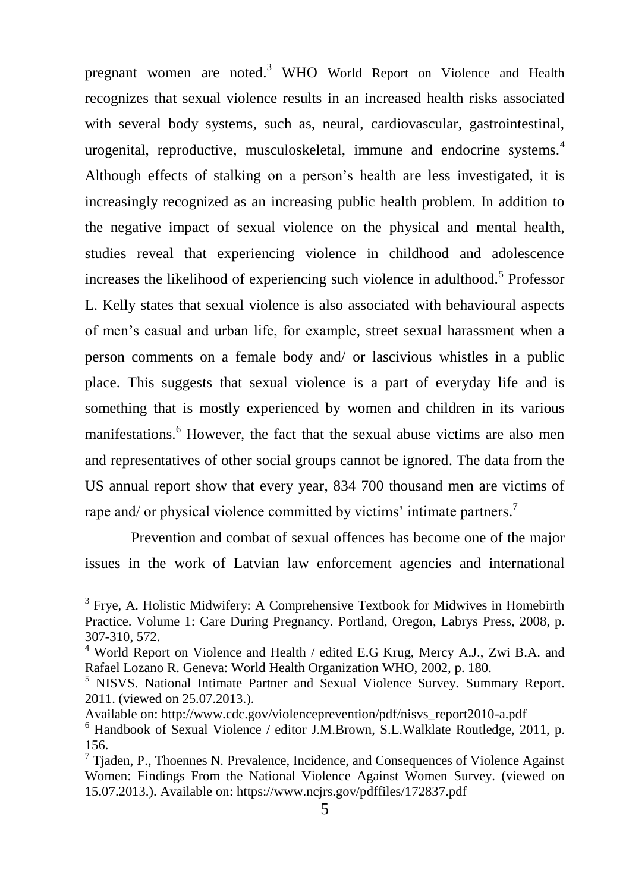pregnant women are noted.<sup>3</sup> WHO World Report on Violence and Health recognizes that sexual violence results in an increased health risks associated with several body systems, such as, neural, cardiovascular, gastrointestinal, urogenital, reproductive, musculoskeletal, immune and endocrine systems.<sup>4</sup> Although effects of stalking on a person's health are less investigated, it is increasingly recognized as an increasing public health problem. In addition to the negative impact of sexual violence on the physical and mental health, studies reveal that experiencing violence in childhood and adolescence increases the likelihood of experiencing such violence in adulthood.<sup>5</sup> Professor L. Kelly states that sexual violence is also associated with behavioural aspects of men's casual and urban life, for example, street sexual harassment when a person comments on a female body and/ or lascivious whistles in a public place. This suggests that sexual violence is a part of everyday life and is something that is mostly experienced by women and children in its various manifestations.<sup>6</sup> However, the fact that the sexual abuse victims are also men and representatives of other social groups cannot be ignored. The data from the US annual report show that every year, 834 700 thousand men are victims of rape and/ or physical violence committed by victims' intimate partners.<sup>7</sup>

 Prevention and combat of sexual offences has become one of the major issues in the work of Latvian law enforcement agencies and international

<sup>&</sup>lt;sup>3</sup> Frye, A. Holistic Midwifery: A Comprehensive Textbook for Midwives in Homebirth Practice. Volume 1: Care During Pregnancy. Portland, Oregon, Labrys Press, 2008, p. 307-310, 572.

<sup>&</sup>lt;sup>4</sup> World Report on Violence and Health / edited E.G Krug, Mercy A.J., Zwi B.A. and Rafael Lozano R. Geneva: World Health Organization WHO, 2002, p. 180.

<sup>&</sup>lt;sup>5</sup> NISVS. National Intimate Partner and Sexual Violence Survey. Summary Report. 2011. (viewed on 25.07.2013.).

Available on: http://www.cdc.gov/violenceprevention/pdf/nisvs\_report2010-a.pdf

<sup>6</sup> Handbook of Sexual Violence / editor [J.M.Brown,](http://www.amazon.co.uk/s/ref=ntt_athr_dp_sr_1/279-2674361-2427007?_encoding=UTF8&field-author=Jennifer%20M.%20Brown&search-alias=books-uk&sort=relevancerank) [S.L.Walklate](http://www.amazon.co.uk/s/ref=ntt_athr_dp_sr_2/279-2674361-2427007?_encoding=UTF8&field-author=Sandra%20L.%20Walklate&search-alias=books-uk&sort=relevancerank) Routledge, 2011, p. 156.

<sup>7</sup> Tjaden, P., Thoennes N*.* Prevalence, Incidence, and Consequences of Violence Against Women: Findings From the National Violence Against Women Survey. (viewed on 15.07.2013.). Available on: https://www.ncjrs.gov/pdffiles/172837.pdf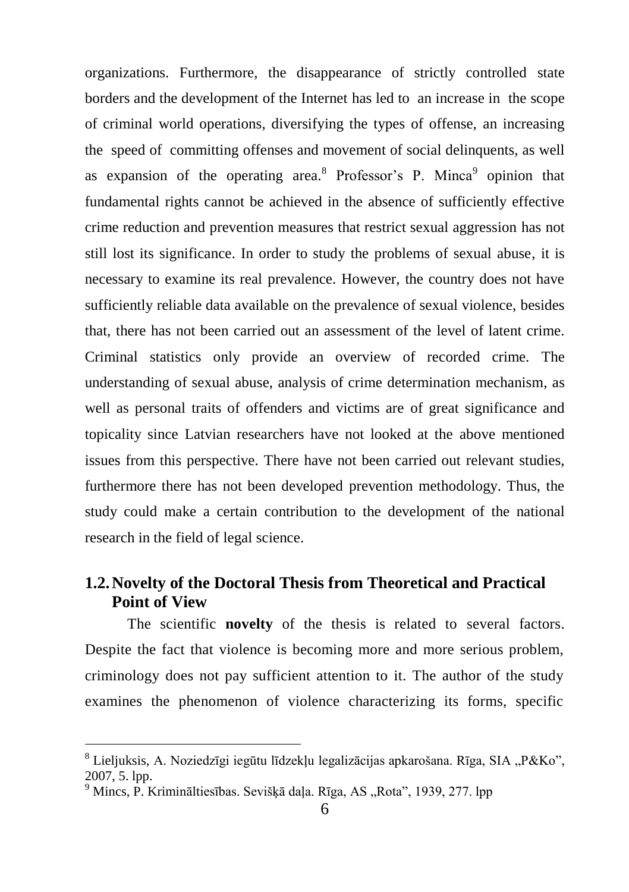organizations. Furthermore, the disappearance of strictly controlled state borders and the development of the Internet has led to an increase in the scope of criminal world operations, diversifying the types of offense, an increasing the speed of committing offenses and movement of social delinquents, as well as expansion of the operating area.<sup>8</sup> Professor's P. Minca<sup>9</sup> opinion that fundamental rights cannot be achieved in the absence of sufficiently effective crime reduction and prevention measures that restrict sexual aggression has not still lost its significance. In order to study the problems of sexual abuse, it is necessary to examine its real prevalence. However, the country does not have sufficiently reliable data available on the prevalence of sexual violence, besides that, there has not been carried out an assessment of the level of latent crime. Criminal statistics only provide an overview of recorded crime. The understanding of sexual abuse, analysis of crime determination mechanism, as well as personal traits of offenders and victims are of great significance and topicality since Latvian researchers have not looked at the above mentioned issues from this perspective. There have not been carried out relevant studies, furthermore there has not been developed prevention methodology. Thus, the study could make a certain contribution to the development of the national research in the field of legal science.

# <span id="page-6-0"></span>**1.2.Novelty of the Doctoral Thesis from Theoretical and Practical Point of View**

The scientific **novelty** of the thesis is related to several factors. Despite the fact that violence is becoming more and more serious problem, criminology does not pay sufficient attention to it. The author of the study examines the phenomenon of violence characterizing its forms, specific

<sup>&</sup>lt;sup>8</sup> Lieljuksis, A. Noziedzīgi iegūtu līdzekļu legalizācijas apkarošana. Rīga, SIA "P&Ko", 2007, 5. lpp.

<sup>&</sup>lt;sup>9</sup> Mincs, P. Krimināltiesības. Sevišķā daļa. Rīga, AS "Rota", 1939, 277. lpp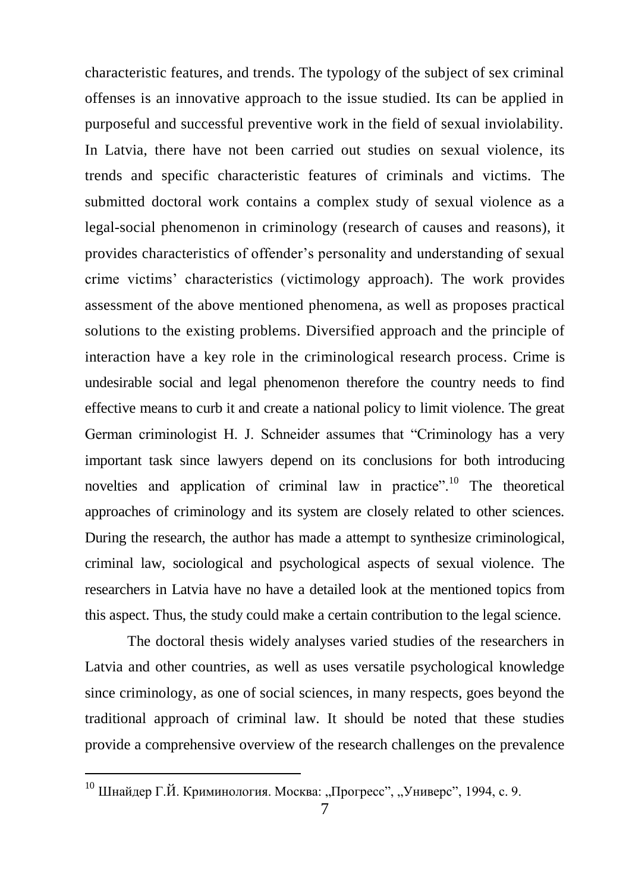characteristic features, and trends. The typology of the subject of sex criminal offenses is an innovative approach to the issue studied. Its can be applied in purposeful and successful preventive work in the field of sexual inviolability. In Latvia, there have not been carried out studies on sexual violence, its trends and specific characteristic features of criminals and victims. The submitted doctoral work contains a complex study of sexual violence as a legal-social phenomenon in criminology (research of causes and reasons), it provides characteristics of offender's personality and understanding of sexual crime victims' characteristics (victimology approach). The work provides assessment of the above mentioned phenomena, as well as proposes practical solutions to the existing problems. Diversified approach and the principle of interaction have a key role in the criminological research process. Crime is undesirable social and legal phenomenon therefore the country needs to find effective means to curb it and create a national policy to limit violence. The great German criminologist H. J. Schneider assumes that "Criminology has a very important task since lawyers depend on its conclusions for both introducing novelties and application of criminal law in practice".<sup>10</sup> The theoretical approaches of criminology and its system are closely related to other sciences. During the research, the author has made a attempt to synthesize criminological, criminal law, sociological and psychological aspects of sexual violence. The researchers in Latvia have no have a detailed look at the mentioned topics from this aspect. Thus, the study could make a certain contribution to the legal science.

The doctoral thesis widely analyses varied studies of the researchers in Latvia and other countries, as well as uses versatile psychological knowledge since criminology, as one of social sciences, in many respects, goes beyond the traditional approach of criminal law. It should be noted that these studies provide a comprehensive overview of the research challenges on the prevalence

 $^{10}$  Шнайдер Г.Й. Криминология. Москва: "Прогресс", "Универс", 1994, с. 9.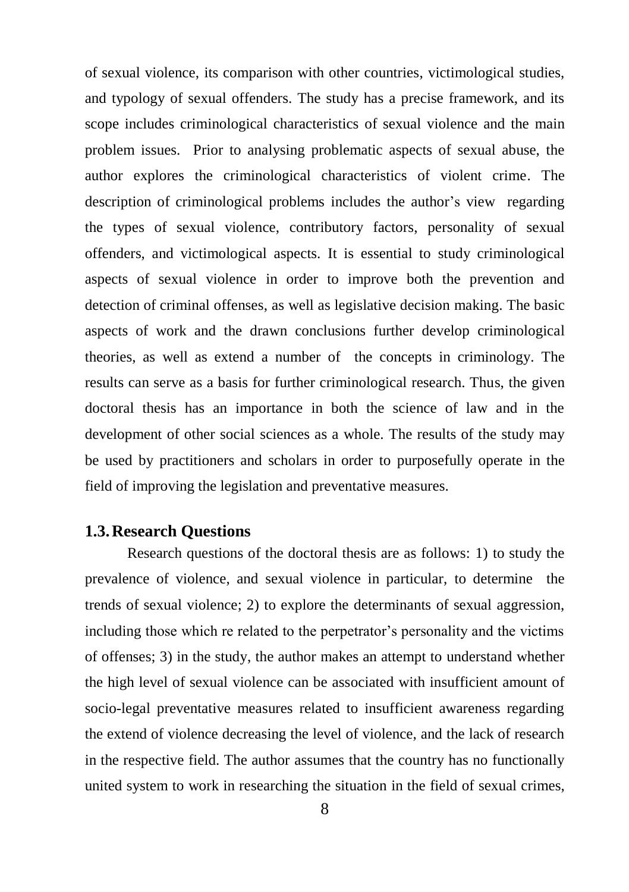of sexual violence, its comparison with other countries, victimological studies, and typology of sexual offenders. The study has a precise framework, and its scope includes criminological characteristics of sexual violence and the main problem issues. Prior to analysing problematic aspects of sexual abuse, the author explores the criminological characteristics of violent crime. The description of criminological problems includes the author's view regarding the types of sexual violence, contributory factors, personality of sexual offenders, and victimological aspects. It is essential to study criminological aspects of sexual violence in order to improve both the prevention and detection of criminal offenses, as well as legislative decision making. The basic aspects of work and the drawn conclusions further develop criminological theories, as well as extend a number of the concepts in criminology. The results can serve as a basis for further criminological research. Thus, the given doctoral thesis has an importance in both the science of law and in the development of other social sciences as a whole. The results of the study may be used by practitioners and scholars in order to purposefully operate in the field of improving the legislation and preventative measures.

## <span id="page-8-0"></span>**1.3.Research Questions**

Research questions of the doctoral thesis are as follows: 1) to study the prevalence of violence, and sexual violence in particular, to determine the trends of sexual violence; 2) to explore the determinants of sexual aggression, including those which re related to the perpetrator's personality and the victims of offenses; 3) in the study, the author makes an attempt to understand whether the high level of sexual violence can be associated with insufficient amount of socio-legal preventative measures related to insufficient awareness regarding the extend of violence decreasing the level of violence, and the lack of research in the respective field. The author assumes that the country has no functionally united system to work in researching the situation in the field of sexual crimes,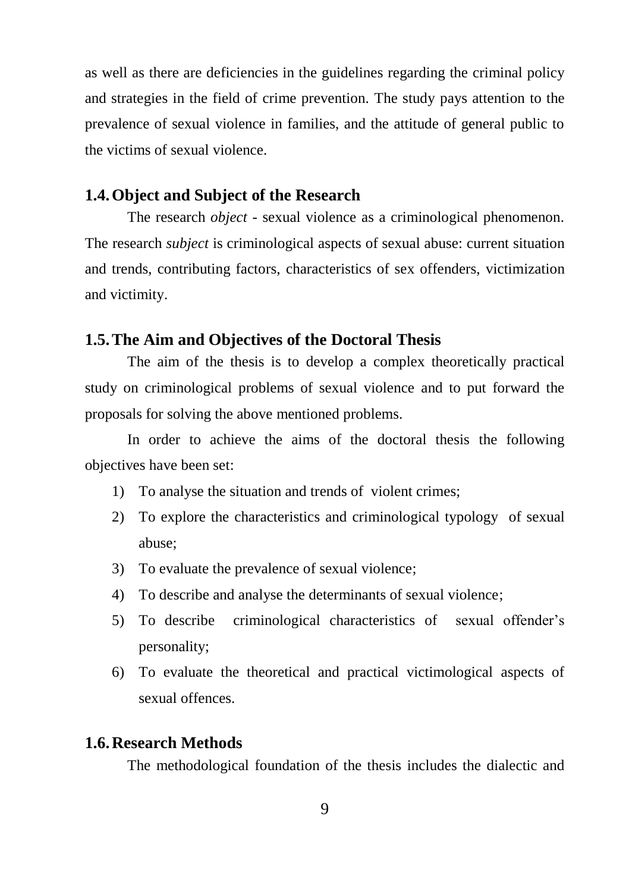as well as there are deficiencies in the guidelines regarding the criminal policy and strategies in the field of crime prevention. The study pays attention to the prevalence of sexual violence in families, and the attitude of general public to the victims of sexual violence.

## <span id="page-9-0"></span>**1.4.Object and Subject of the Research**

The research *object* - sexual violence as a criminological phenomenon. The research *subject* is criminological aspects of sexual abuse: current situation and trends, contributing factors, characteristics of sex offenders, victimization and victimity.

## <span id="page-9-1"></span>**1.5.The Aim and Objectives of the Doctoral Thesis**

The aim of the thesis is to develop a complex theoretically practical study on criminological problems of sexual violence and to put forward the proposals for solving the above mentioned problems.

In order to achieve the aims of the doctoral thesis the following objectives have been set:

- 1) To analyse the situation and trends of violent crimes;
- 2) To explore the characteristics and criminological typology of sexual abuse;
- 3) To evaluate the prevalence of sexual violence;
- 4) To describe and analyse the determinants of sexual violence;
- 5) To describe criminological characteristics of sexual offender's personality;
- 6) To evaluate the theoretical and practical victimological aspects of sexual offences.

## <span id="page-9-2"></span>**1.6.Research Methods**

The methodological foundation of the thesis includes the dialectic and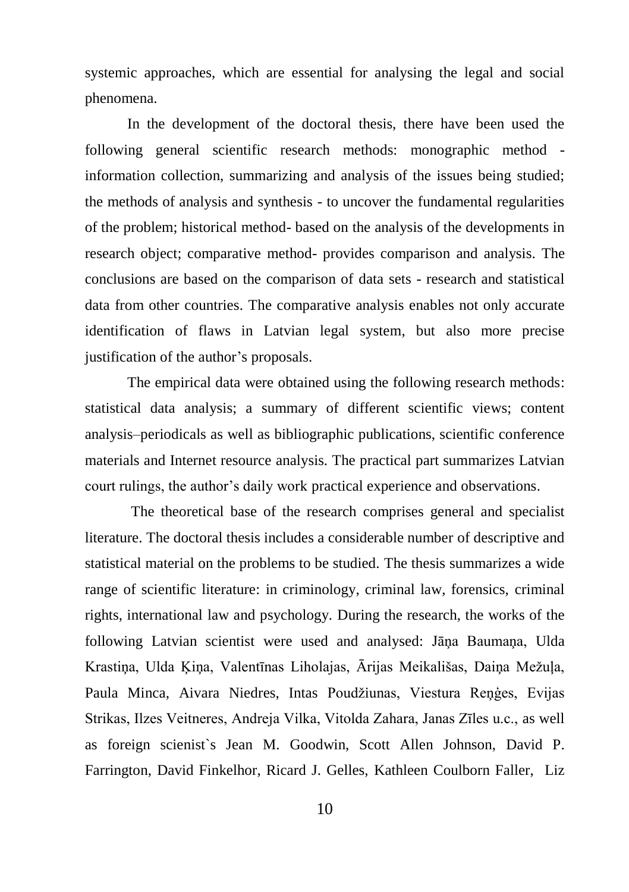systemic approaches, which are essential for analysing the legal and social phenomena.

In the development of the doctoral thesis, there have been used the following general scientific research methods: monographic method information collection, summarizing and analysis of the issues being studied; the methods of analysis and synthesis - to uncover the fundamental regularities of the problem; historical method- based on the analysis of the developments in research object; comparative method- provides comparison and analysis. The conclusions are based on the comparison of data sets - research and statistical data from other countries. The comparative analysis enables not only accurate identification of flaws in Latvian legal system, but also more precise justification of the author's proposals.

The empirical data were obtained using the following research methods: statistical data analysis; a summary of different scientific views; content analysis–periodicals as well as bibliographic publications, scientific conference materials and Internet resource analysis. The practical part summarizes Latvian court rulings, the author's daily work practical experience and observations.

 The theoretical base of the research comprises general and specialist literature. The doctoral thesis includes a considerable number of descriptive and statistical material on the problems to be studied. The thesis summarizes a wide range of scientific literature: in criminology, criminal law, forensics, criminal rights, international law and psychology. During the research, the works of the following Latvian scientist were used and analysed: Jāna Baumana, Ulda Krastiņa, Ulda Ķiņa, Valentīnas Liholajas, Ārijas Meikališas, Daiņa Mežuļa, Paula Minca, Aivara Niedres, Intas Poudžiunas, Viestura Reņģes, Evijas Strikas, Ilzes Veitneres, Andreja Vilka, Vitolda Zahara, Janas Zīles u.c., as well as foreign scienist`s Jean M. Goodwin, Scott Allen Johnson, David P. Farrington, David Finkelhor, Ricard J. Gelles, Kathleen Coulborn Faller, Liz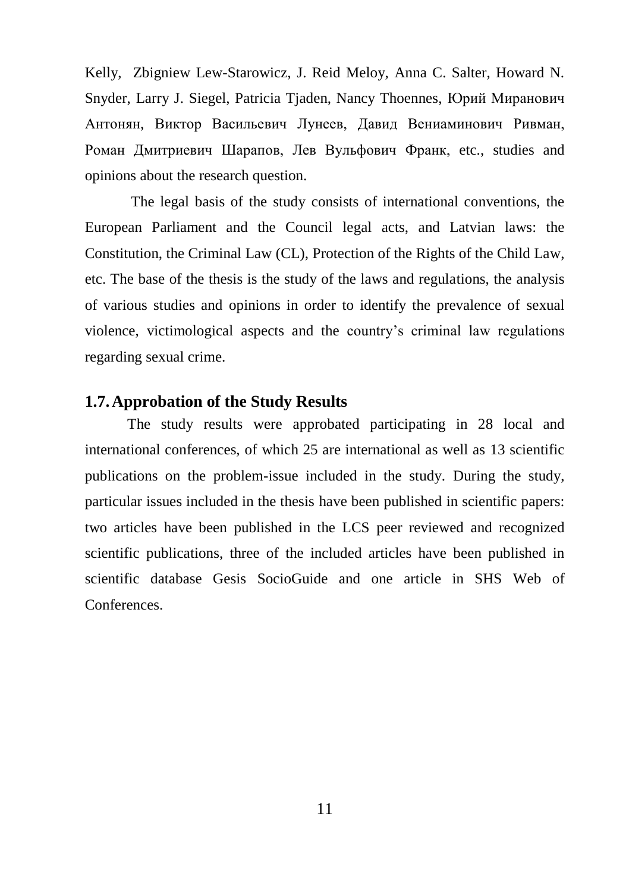Kelly, Zbigniew Lew-Starowicz, J. Reid Meloy, Anna C. Salter, Howard N. Snyder, Larry J. Siegel, Patricia Tjaden, Nancy Thoennes, Юрий Миранович Антонян, [Виктор Васильевич Лунеев,](http://ecsocman.hse.ru/text/16136912/) Давид Вeниаминович Ривман, Роман Дмитриевич Шарапов, Лев Вульфович Франк, etc., studies and opinions about the research question.

The legal basis of the study consists of international conventions, the European Parliament and the Council legal acts, and Latvian laws: the Constitution, the Criminal Law (CL), Protection of the Rights of the Child Law, etc. The base of the thesis is the study of the laws and regulations, the analysis of various studies and opinions in order to identify the prevalence of sexual violence, victimological aspects and the country's criminal law regulations regarding sexual crime.

## <span id="page-11-0"></span>**1.7.Approbation of the Study Results**

The study results were approbated participating in 28 local and international conferences, of which 25 are international as well as 13 scientific publications on the problem-issue included in the study. During the study, particular issues included in the thesis have been published in scientific papers: two articles have been published in the LCS peer reviewed and recognized scientific publications, three of the included articles have been published in scientific database Gesis SocioGuide and one article in SHS Web of **Conferences**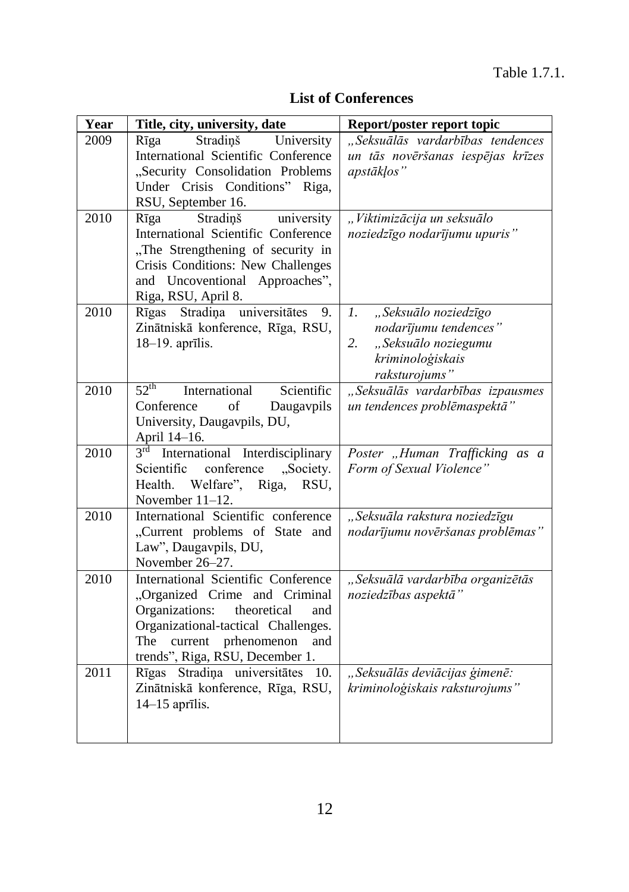| Year | Title, city, university, date                                                                                                                                                                                         | Report/poster report topic                                                                                            |
|------|-----------------------------------------------------------------------------------------------------------------------------------------------------------------------------------------------------------------------|-----------------------------------------------------------------------------------------------------------------------|
| 2009 | Stradiņš<br>University<br>Rīga<br>International Scientific Conference<br>"Security Consolidation Problems<br>Under Crisis Conditions" Riga,<br>RSU, September 16.                                                     | "Seksuālās vardarbības tendences<br>un tās novēršanas iespējas krīzes<br>apstākļos"                                   |
| 2010 | Stradiņš<br>university<br>Rīga<br>International Scientific Conference<br>"The Strengthening of security in<br>Crisis Conditions: New Challenges<br>and Uncoventional Approaches",<br>Riga, RSU, April 8.              | "Viktimizācija un seksuālo<br>noziedzīgo nodarījumu upuris"                                                           |
| 2010 | Rīgas Stradiņa universitātes 9.<br>Zinātniskā konference, Rīga, RSU,<br>18-19. aprīlis.                                                                                                                               | "Seksuālo noziedzīgo<br>1.<br>nodarījumu tendences"<br>"Seksuālo noziegumu<br>2.<br>kriminoloģiskais<br>raksturojums" |
| 2010 | $52^{\text{th}}$<br>International<br>Scientific<br>Conference<br>$\sigma$ f<br>Daugavpils<br>University, Daugavpils, DU,                                                                                              | "Seksuālās vardarbības izpausmes<br>un tendences problēmaspektā"                                                      |
| 2010 | April 14–16.<br>$3^{\text{rd}}$ International Interdisciplinary<br>conference<br>"Society.<br>Scientific<br>Health. Welfare", Riga, RSU,<br>November 11-12.                                                           | Poster "Human Trafficking as a<br>Form of Sexual Violence"                                                            |
| 2010 | International Scientific conference<br>"Current problems of State and<br>Law", Daugavpils, DU,<br>November 26-27.                                                                                                     | "Seksuāla rakstura noziedzīgu<br>nodarījumu novēršanas problēmas"                                                     |
| 2010 | International Scientific Conference<br>"Organized Crime and Criminal<br>Organizations: theoretical<br>and<br>Organizational-tactical Challenges.<br>The current prhenomenon<br>and<br>trends", Riga, RSU, December 1. | "Seksuālā vardarbība organizētās<br>noziedzības aspektā"                                                              |
| 2011 | Rīgas Stradiņa universitātes<br>10.<br>Zinātniskā konference, Rīga, RSU,<br>$14-15$ aprīlis.                                                                                                                          | "Seksuālās deviācijas ģimenē:<br>kriminoloģiskais raksturojums"                                                       |

## **List of Conferences**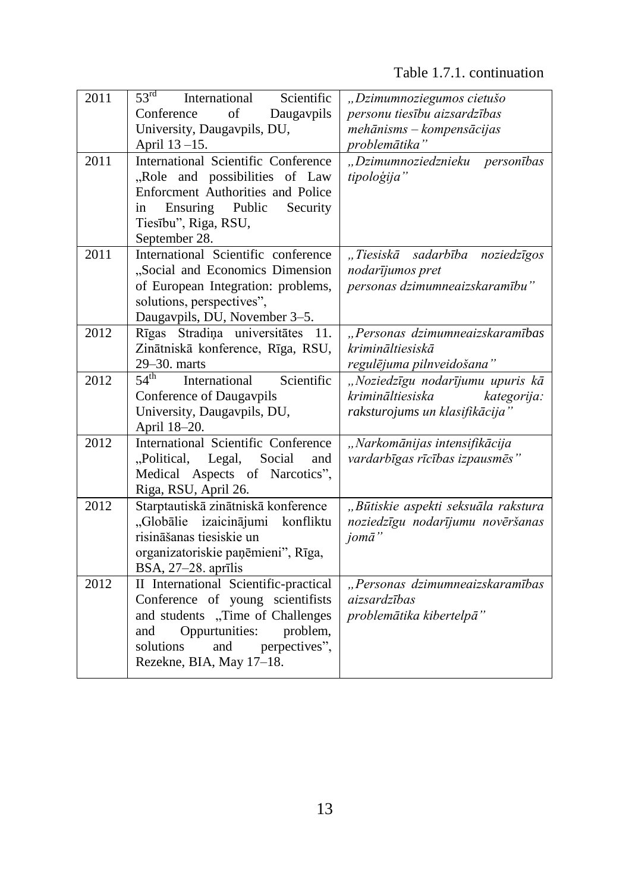# Table 1.7.1. continuation

| 2011 | $53rd$ International<br>Scientific<br>of<br>Conference<br>Daugaypils<br>University, Daugavpils, DU,<br>April 13-15.                                                                                              | "Dzimumnoziegumos cietušo<br>personu tiesību aizsardzības<br>mehānisms - kompensācijas<br>problemātika" |
|------|------------------------------------------------------------------------------------------------------------------------------------------------------------------------------------------------------------------|---------------------------------------------------------------------------------------------------------|
| 2011 | International Scientific Conference<br>"Role and possibilities of Law<br>Enforcment Authorities and Police<br>Ensuring Public<br>Security<br>in<br>Tiesību", Riga, RSU,<br>September 28.                         | "Dzimumnoziedznieku personības<br>tipoloģija"                                                           |
| 2011 | International Scientific conference<br>"Social and Economics Dimension<br>of European Integration: problems,<br>solutions, perspectives",<br>Daugavpils, DU, November 3-5.                                       | "Tiesiskā sadarbība noziedzīgos<br>nodarījumos pret<br>personas dzimumneaizskaramību"                   |
| 2012 | Rīgas Stradiņa universitātes<br>11.<br>Zinātniskā konference, Rīga, RSU,<br>29-30. marts                                                                                                                         | "Personas dzimumneaizskaramības<br>krimināltiesiskā<br>regulējuma pilnveidošana"                        |
| 2012 | 54 <sup>th</sup><br>International<br>Scientific<br>Conference of Daugavpils<br>University, Daugavpils, DU,<br>April 18-20.                                                                                       | "Noziedzīgu nodarījumu upuris kā<br>krimināltiesiska<br>kategorija:<br>raksturojums un klasifikācija"   |
| 2012 | International Scientific Conference<br>"Political, Legal,<br>Social<br>and<br>Medical Aspects of Narcotics",<br>Riga, RSU, April 26.                                                                             | "Narkomānijas intensifikācija<br>vardarbīgas rīcības izpausmēs"                                         |
| 2012 | Starptautiskā zinātniskā konference<br>"Globālie izaicinājumi konfliktu<br>risināšanas tiesiskie un<br>organizatoriskie paņēmieni", Rīga,<br>$BSA, 27–28.$ aprīlis                                               | "Būtiskie aspekti seksuāla rakstura<br>noziedzīgu nodarījumu novēršanas<br>jomā"                        |
| 2012 | II International Scientific-practical<br>Conference of young scientifists<br>and students "Time of Challenges<br>Oppurtunities: problem,<br>and<br>solutions<br>and<br>perpectives",<br>Rezekne, BIA, May 17-18. | "Personas dzimumneaizskaramības<br>aizsardzības<br>problemātika kibertelpā"                             |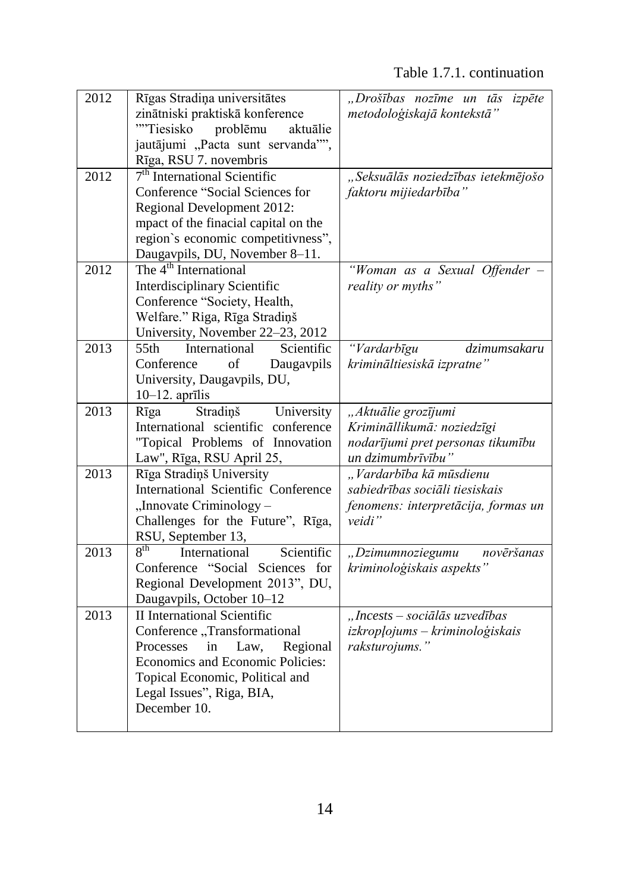| 2012 | Rīgas Stradiņa universitātes                   | "Drošības nozīme un tās izpēte      |
|------|------------------------------------------------|-------------------------------------|
|      | zinātniski praktiskā konference                | metodoloģiskajā kontekstā"          |
|      | ""Tiesisko<br>problēmu<br>aktuālie             |                                     |
|      | jautājumi "Pacta sunt servanda"",              |                                     |
|      | Rīga, RSU 7. novembris                         |                                     |
| 2012 | 7 <sup>th</sup> International Scientific       | "Seksuālās noziedzības ietekmējošo  |
|      | Conference "Social Sciences for                | faktoru mijiedarbība"               |
|      | Regional Development 2012:                     |                                     |
|      | mpact of the finacial capital on the           |                                     |
|      | region's economic competitivness",             |                                     |
|      | Daugavpils, DU, November 8-11.                 |                                     |
| 2012 | The $4th$ International                        | "Woman as a Sexual Offender -       |
|      | Interdisciplinary Scientific                   | reality or myths"                   |
|      | Conference "Society, Health,                   |                                     |
|      | Welfare." Riga, Rīga Stradiņš                  |                                     |
|      | University, November 22-23, 2012               |                                     |
| 2013 | International<br>Scientific<br>55th            | "Vardarbīgu<br>dzimumsakaru         |
|      | Conference<br>of<br>Daugavpils                 | krimināltiesiskā izpratne"          |
|      | University, Daugavpils, DU,                    |                                     |
|      | $10-12$ . aprīlis                              |                                     |
| 2013 | Stradiņš<br>University<br>Rīga                 | "Aktuālie grozījumi                 |
|      | International scientific conference            | Krimināllikumā: noziedzīgi          |
|      | "Topical Problems of Innovation                | nodarījumi pret personas tikumību   |
|      | Law", Rīga, RSU April 25,                      | un dzimumbrīvību"                   |
| 2013 | Rīga Stradiņš University                       | "Vardarbība kā mūsdienu             |
|      | International Scientific Conference            | sabiedrības sociāli tiesiskais      |
|      | "Innovate Criminology –                        | fenomens: interpretācija, formas un |
|      | Challenges for the Future", Rīga,              | veidi"                              |
|      | RSU, September 13,                             |                                     |
| 2013 | $8^{\text{th}}$<br>International<br>Scientific | "Dzimumnoziegumu<br>novēršanas      |
|      | Conference "Social Sciences for                | kriminoloģiskais aspekts'           |
|      | Regional Development 2013", DU,                |                                     |
|      | Daugavpils, October 10-12                      |                                     |
| 2013 | <b>II</b> International Scientific             | "Incests - sociālās uzvedības       |
|      | Conference "Transformational                   | izkropļojums - kriminoloģiskais     |
|      | Processes in<br>Law,<br>Regional               | raksturojums."                      |
|      | Economics and Economic Policies:               |                                     |
|      | Topical Economic, Political and                |                                     |
|      | Legal Issues", Riga, BIA,                      |                                     |
|      | December 10.                                   |                                     |
|      |                                                |                                     |
|      |                                                |                                     |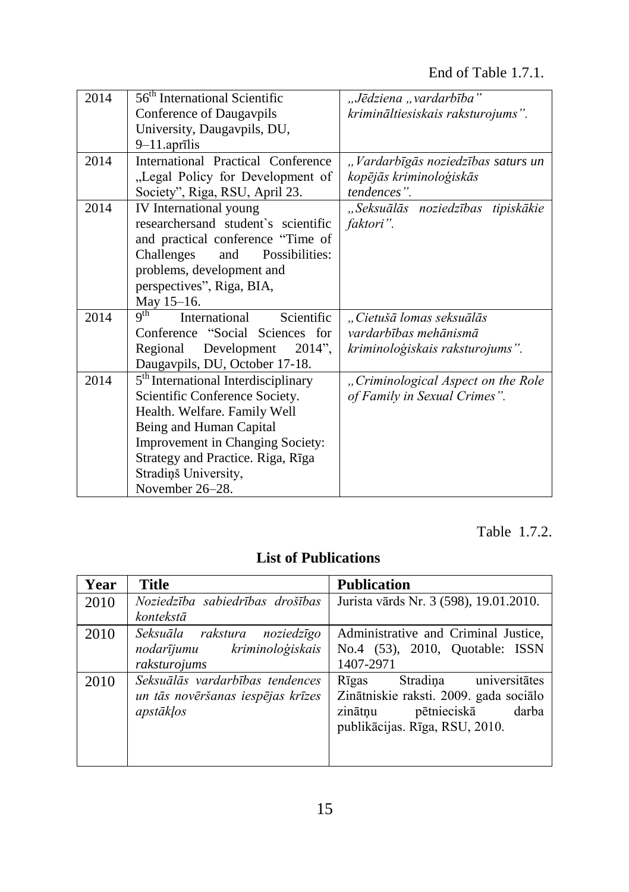# End of Table 1.7.1.

| 2014 | 56 <sup>th</sup> International Scientific                      | "Jēdziena "vardarbība"             |
|------|----------------------------------------------------------------|------------------------------------|
|      | Conference of Daugavpils                                       | krimināltiesiskais raksturojums".  |
|      | University, Daugavpils, DU,                                    |                                    |
|      | $9-11$ .aprīlis                                                |                                    |
| 2014 | International Practical Conference                             | "Vardarbīgās noziedzības saturs un |
|      | "Legal Policy for Development of                               | kopējās kriminoloģiskās            |
|      | Society", Riga, RSU, April 23.                                 | tendences".                        |
| 2014 | IV International young                                         | "Seksuālās noziedzības tipiskākie  |
|      | researchersand student's scientific                            | faktori".                          |
|      | and practical conference "Time of                              |                                    |
|      | Challenges<br>Possibilities:<br>and                            |                                    |
|      | problems, development and                                      |                                    |
|      | perspectives", Riga, BIA,                                      |                                    |
|      | May 15-16.                                                     |                                    |
| 2014 | $\mathbf{Q}^{\text{th}}$<br>International<br><b>Scientific</b> | "Cietušā lomas seksuālās           |
|      | Conference "Social Sciences for                                | vardarbības mehānismā              |
|      | Regional<br>Development 2014",                                 | kriminoloģiskais raksturojums".    |
|      | Daugavpils, DU, October 17-18.                                 |                                    |
| 2014 | 5 <sup>th</sup> International Interdisciplinary                | "Criminological Aspect on the Role |
|      | Scientific Conference Society.                                 | of Family in Sexual Crimes".       |
|      | Health. Welfare. Family Well                                   |                                    |
|      | Being and Human Capital                                        |                                    |
|      | <b>Improvement in Changing Society:</b>                        |                                    |
|      | Strategy and Practice. Riga, Rīga                              |                                    |
|      | Stradiņš University,                                           |                                    |
|      | November 26–28.                                                |                                    |

Table 1.7.2.

# **List of Publications**

| Year | <b>Title</b>                                                                      | <b>Publication</b>                                                                                                                             |  |
|------|-----------------------------------------------------------------------------------|------------------------------------------------------------------------------------------------------------------------------------------------|--|
| 2010 | Noziedzība sabiedrības drošības<br>kontekstā                                      | Jurista vārds Nr. 3 (598), 19.01.2010.                                                                                                         |  |
| 2010 | Seksuāla rakstura noziedzīgo<br>nodarījumu kriminoloģiskais<br>raksturojums       | Administrative and Criminal Justice,<br>No.4 (53), 2010, Quotable: ISSN<br>1407-2971                                                           |  |
| 2010 | Seksuālās vardarbības tendences<br>un tās novēršanas iespējas krīzes<br>apstākļos | Stradiņa universitātes<br>Rīgas<br>Zinātniskie raksti. 2009. gada sociālo<br>pētnieciskā<br>zinātnu<br>darba<br>publikācijas. Rīga, RSU, 2010. |  |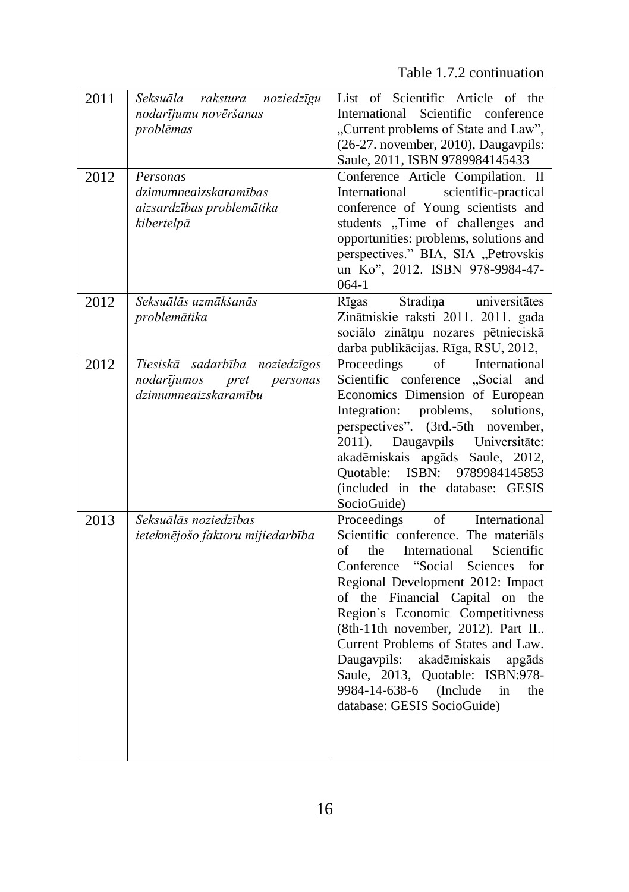Table 1.7.2 continuation

| 2011 | Seksuāla rakstura noziedzīgu<br>nodarījumu novēršanas<br>problēmas                        | List of Scientific Article of the<br>International Scientific conference<br>"Current problems of State and Law",<br>(26-27. november, 2010), Daugavpils:<br>Saule, 2011, ISBN 9789984145433                                                                                                                                                                                                                                                                                                              |
|------|-------------------------------------------------------------------------------------------|----------------------------------------------------------------------------------------------------------------------------------------------------------------------------------------------------------------------------------------------------------------------------------------------------------------------------------------------------------------------------------------------------------------------------------------------------------------------------------------------------------|
| 2012 | Personas<br>dzimumneaizskaramības<br>aizsardzības problemātika<br>kibertelpā              | Conference Article Compilation. II<br>scientific-practical<br>International<br>conference of Young scientists and<br>students "Time of challenges and<br>opportunities: problems, solutions and<br>perspectives." BIA, SIA "Petrovskis<br>un Ko", 2012. ISBN 978-9984-47-<br>$064-1$                                                                                                                                                                                                                     |
| 2012 | Seksuālās uzmākšanās<br>problemātika                                                      | Stradiņa<br>Rīgas<br>universitātes<br>Zinātniskie raksti 2011. 2011. gada<br>sociālo zinātņu nozares pētnieciskā<br>darba publikācijas. Rīga, RSU, 2012,                                                                                                                                                                                                                                                                                                                                                 |
| 2012 | Tiesiskā sadarbība noziedzīgos<br>nodarījumos<br>personas<br>pret<br>dzimumneaizskaramību | Proceedings<br>International<br>$\circ$ f<br>Scientific conference "Social and<br>Economics Dimension of European<br>problems,<br>Integration:<br>solutions.<br>perspectives". (3rd.-5th november,<br>Daugavpils Universitäte:<br>2011).<br>akadēmiskais apgāds Saule, 2012,<br>Quotable: ISBN: 9789984145853<br>(included in the database: GESIS<br>SocioGuide)                                                                                                                                         |
| 2013 | Seksuālās noziedzības<br>ietekmējošo faktoru mijiedarbība                                 | of<br>International<br>Proceedings<br>Scientific conference. The materials<br>the<br>International<br>Scientific<br>of<br>Conference "Social Sciences<br>for<br>Regional Development 2012: Impact<br>of the Financial Capital on the<br>Region's Economic Competitivness<br>(8th-11th november, 2012). Part II<br>Current Problems of States and Law.<br>akadēmiskais<br>Daugavpils:<br>apgāds<br>Saule, 2013, Quotable: ISBN:978-<br>9984-14-638-6 (Include<br>in<br>the<br>database: GESIS SocioGuide) |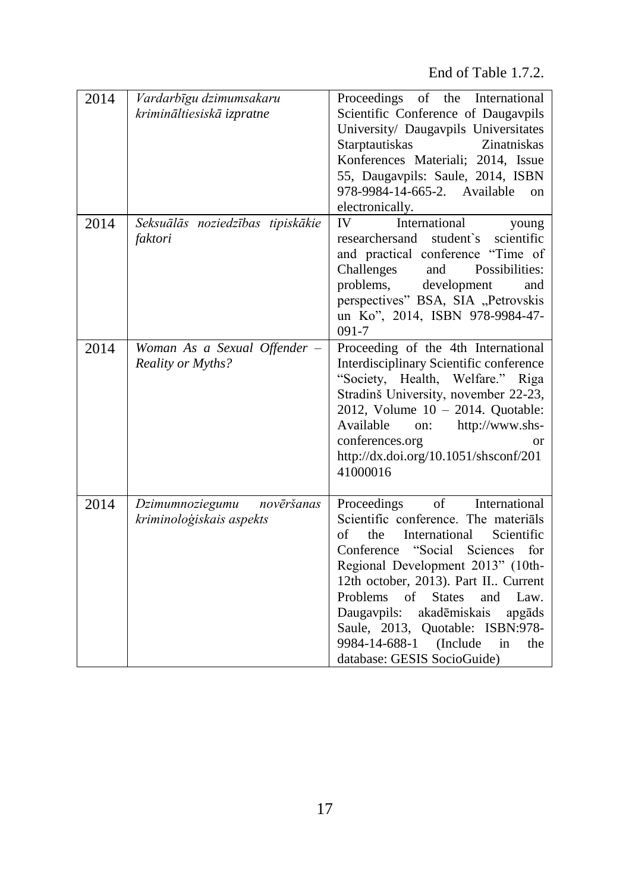End of Table 1.7.2.

| 2014 | Vardarbīgu dzimumsakaru<br>krimināltiesiskā izpratne      | Proceedings of the International<br>Scientific Conference of Daugavpils<br>University/ Daugavpils Universitates<br>Starptautiskas<br>Zinatniskas<br>Konferences Materiali; 2014, Issue<br>55, Daugavpils: Saule, 2014, ISBN<br>978-9984-14-665-2. Available<br>on<br>electronically.                                                                                                                                                                            |  |
|------|-----------------------------------------------------------|-----------------------------------------------------------------------------------------------------------------------------------------------------------------------------------------------------------------------------------------------------------------------------------------------------------------------------------------------------------------------------------------------------------------------------------------------------------------|--|
| 2014 | Seksuālās noziedzības tipiskākie<br>faktori               | IV<br>International<br>young<br>scientific<br>researchersand<br>student's<br>and practical conference "Time of<br>Challenges<br>and<br>Possibilities:<br>problems,<br>development<br>and<br>perspectives" BSA, SIA "Petrovskis<br>un Ko", 2014, ISBN 978-9984-47-<br>091-7                                                                                                                                                                                      |  |
| 2014 | Woman As a Sexual Offender -<br><b>Reality or Myths?</b>  | Proceeding of the 4th International<br>Interdisciplinary Scientific conference<br>"Society, Health, Welfare." Riga<br>Stradinš University, november 22-23,<br>2012, Volume 10 - 2014. Quotable:<br>http://www.shs-<br>Available<br>on:<br>conferences.org<br>or<br>http://dx.doi.org/10.1051/shsconf/201<br>41000016                                                                                                                                            |  |
| 2014 | novēršanas<br>Dzimumnoziegumu<br>kriminoloģiskais aspekts | of<br>Proceedings<br>International<br>Scientific conference. The materials<br>of<br>the<br>International<br>Scientific<br>"Social<br>Sciences<br>Conference<br>for<br>Regional Development 2013" (10th-<br>12th october, 2013). Part II Current<br><b>Problems</b><br>of<br><b>States</b><br>and<br>Law.<br>Daugavpils:<br>akadēmiskais<br>apgāds<br>Saule, 2013, Quotable: ISBN:978-<br>9984-14-688-1<br>(Include)<br>in<br>the<br>database: GESIS SocioGuide) |  |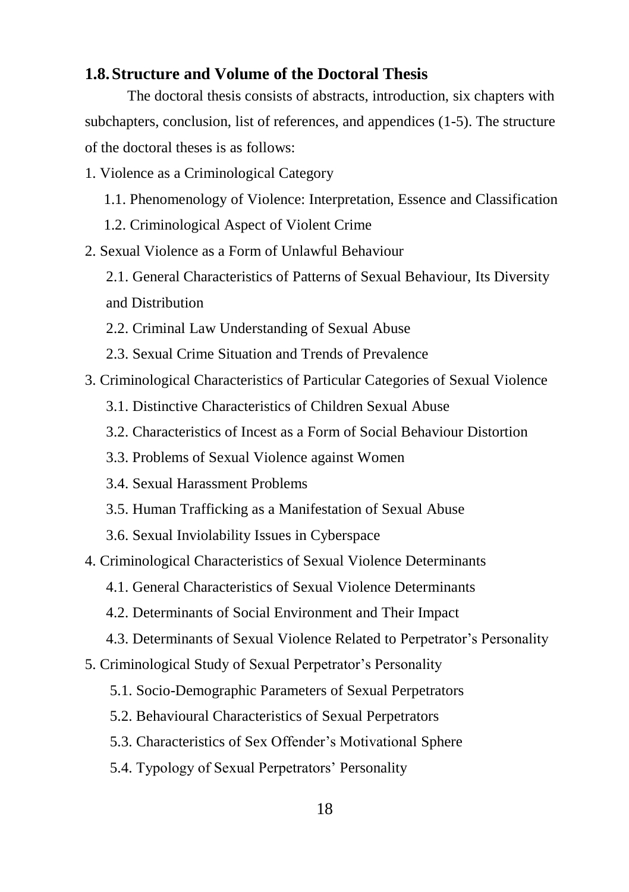## <span id="page-18-0"></span>**1.8.Structure and Volume of the Doctoral Thesis**

The doctoral thesis consists of abstracts, introduction, six chapters with subchapters, conclusion, list of references, and appendices (1-5). The structure of the doctoral theses is as follows:

1. Violence as a Criminological Category

- 1.1. Phenomenology of Violence: Interpretation, Essence and Classification
- 1.2. Criminological Aspect of Violent Crime
- 2. Sexual Violence as a Form of Unlawful Behaviour
	- 2.1. General Characteristics of Patterns of Sexual Behaviour, Its Diversity and Distribution
	- 2.2. Criminal Law Understanding of Sexual Abuse
	- 2.3. Sexual Crime Situation and Trends of Prevalence
- 3. Criminological Characteristics of Particular Categories of Sexual Violence
	- 3.1. Distinctive Characteristics of Children Sexual Abuse
	- 3.2. Characteristics of Incest as a Form of Social Behaviour Distortion
	- 3.3. Problems of Sexual Violence against Women
	- 3.4. Sexual Harassment Problems
	- 3.5. Human Trafficking as a Manifestation of Sexual Abuse
	- 3.6. Sexual Inviolability Issues in Cyberspace
- 4. Criminological Characteristics of Sexual Violence Determinants
	- 4.1. General Characteristics of Sexual Violence Determinants
	- 4.2. Determinants of Social Environment and Their Impact
	- 4.3. Determinants of Sexual Violence Related to Perpetrator's Personality
- 5. Criminological Study of Sexual Perpetrator's Personality
	- 5.1. Socio-Demographic Parameters of Sexual Perpetrators
	- 5.2. Behavioural Characteristics of Sexual Perpetrators
	- 5.3. Characteristics of Sex Offender's Motivational Sphere
	- 5.4. Typology of Sexual Perpetrators' Personality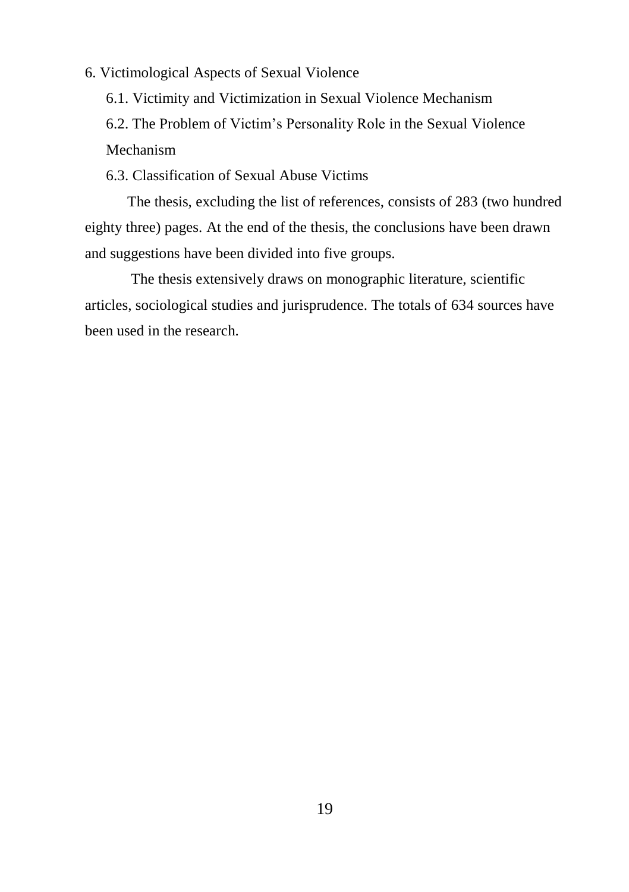6. Victimological Aspects of Sexual Violence

6.1. Victimity and Victimization in Sexual Violence Mechanism 6.2. The Problem of Victim's Personality Role in the Sexual Violence Mechanism

6.3. Classification of Sexual Abuse Victims

The thesis, excluding the list of references, consists of 283 (two hundred eighty three) pages. At the end of the thesis, the conclusions have been drawn and suggestions have been divided into five groups.

 The thesis extensively draws on monographic literature, scientific articles, sociological studies and jurisprudence. The totals of 634 sources have been used in the research.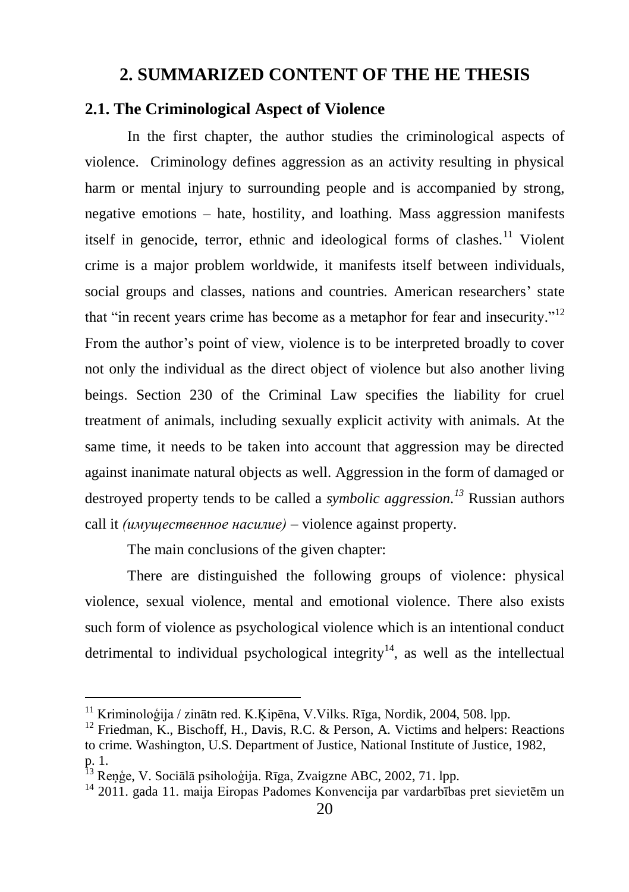## **2. SUMMARIZED CONTENT OF THE HE THESIS**

## <span id="page-20-1"></span><span id="page-20-0"></span>**2.1. The Criminological Aspect of Violence**

In the first chapter, the author studies the criminological aspects of violence. Criminology defines aggression as an activity resulting in physical harm or mental injury to surrounding people and is accompanied by strong, negative emotions – hate, hostility, and loathing. Mass aggression manifests itself in genocide, terror, ethnic and ideological forms of clashes.<sup>11</sup> Violent crime is a major problem worldwide, it manifests itself between individuals, social groups and classes, nations and countries. American researchers' state that "in recent years crime has become as a metaphor for fear and insecurity."<sup>12</sup> From the author's point of view, violence is to be interpreted broadly to cover not only the individual as the direct object of violence but also another living beings. Section 230 of the Criminal Law specifies the liability for cruel treatment of animals, including sexually explicit activity with animals. At the same time, it needs to be taken into account that aggression may be directed against inanimate natural objects as well. Aggression in the form of damaged or destroyed property tends to be called a *symbolic aggression.<sup>13</sup>* Russian authors call it *(имущественное насилие) –* violence against property.

The main conclusions of the given chapter:

<u>.</u>

There are distinguished the following groups of violence: physical violence, sexual violence, mental and emotional violence. There also exists such form of violence as psychological violence which is an intentional conduct detrimental to individual psychological integrity<sup>14</sup>, as well as the intellectual

<sup>11</sup> Kriminoloģija / zinātn red. K.Ķipēna, V.Vilks. Rīga, Nordik, 2004, 508. lpp.

<sup>&</sup>lt;sup>12</sup> Friedman, K., Bischoff, H., Davis, R.C. & Person, A. Victims and helpers: Reactions to crime*.* Washington, U.S. Department of Justice, National Institute of Justice, 1982, p. 1.

<sup>13</sup> Reņģe, V. Sociālā psiholoģija. Rīga, Zvaigzne ABC, 2002, 71. lpp.

<sup>&</sup>lt;sup>14</sup> 2011. gada 11. maija Eiropas Padomes Konvencija par vardarbības pret sievietēm un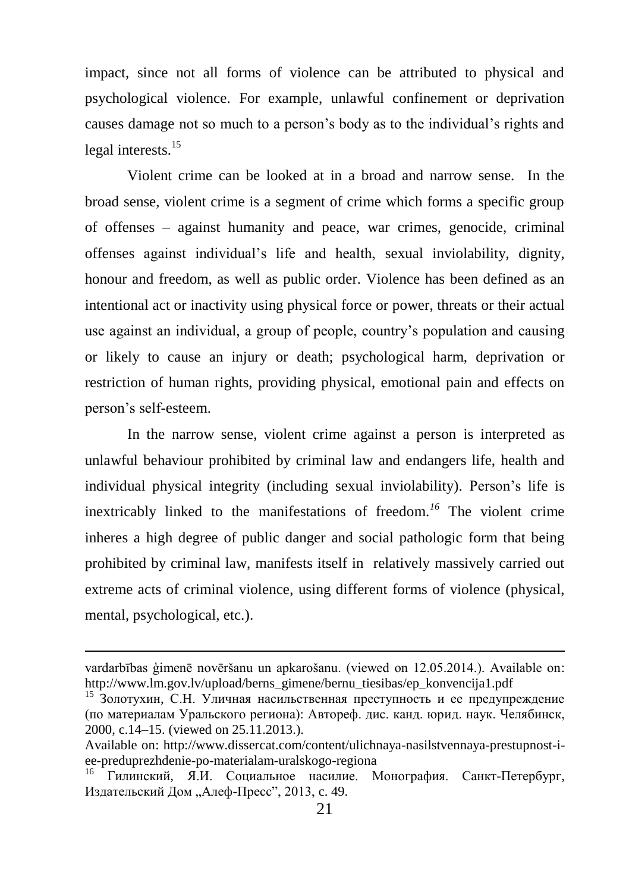impact, since not all forms of violence can be attributed to physical and psychological violence. For example, unlawful confinement or deprivation causes damage not so much to a person's body as to the individual's rights and legal interests.<sup>15</sup>

Violent crime can be looked at in a broad and narrow sense. In the broad sense, violent crime is a segment of crime which forms a specific group of offenses – against humanity and peace, war crimes, genocide, criminal offenses against individual's life and health, sexual inviolability*,* dignity, honour and freedom, as well as public order. Violence has been defined as an intentional act or inactivity using physical force or power, threats or their actual use against an individual, a group of people, country's population and causing or likely to cause an injury or death; psychological harm, deprivation or restriction of human rights, providing physical, emotional pain and effects on person's self-esteem.

In the narrow sense, violent crime against a person is interpreted as unlawful behaviour prohibited by criminal law and endangers life, health and individual physical integrity (including sexual inviolability). Person's life is inextricably linked to the manifestations of freedom.*<sup>16</sup>* The violent crime inheres a high degree of public danger and social pathologic form that being prohibited by criminal law, manifests itself in relatively massively carried out extreme acts of criminal violence, using different forms of violence (physical, mental, psychological, etc.).

vardarbības ģimenē novēršanu un apkarošanu. (viewed on 12.05.2014.). Available on: [http://www.lm.gov.lv/upload/berns\\_gimene/bernu\\_tiesibas/ep\\_konvencija1.pdf](http://www.lm.gov.lv/upload/berns_gimene/bernu_tiesibas/ep_konvencija1.pdf)

<sup>15</sup> Золотухин, С.Н. Уличная насильственная преступность и ее предупреждение (по материалам Уральского региона): Автореф. дис. канд. юрид. наук. Челябинск, 2000, c.14–15. (viewed on 25.11.2013.).

Available on: http://www.dissercat.com/content/ulichnaya-nasilstvennaya-prestupnost-iee-preduprezhdenie-po-materialam-uralskogo-regiona

<sup>16</sup> Гилинский, Я.И. Социальное насилие. Монография. Санкт-Пeтербуpг, Издательский Дом "Алеф-Пресс", 2013, с. 49.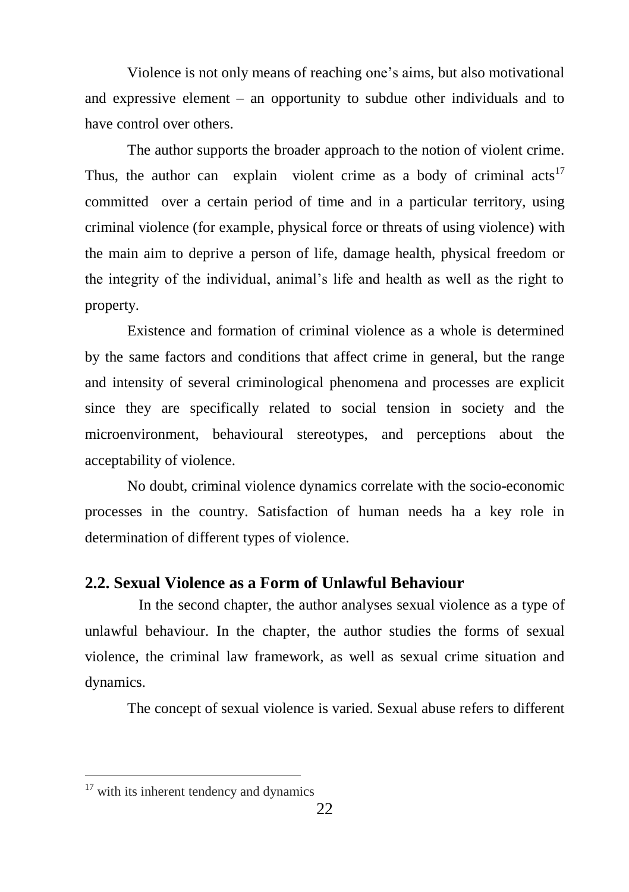Violence is not only means of reaching one's aims, but also motivational and expressive element – an opportunity to subdue other individuals and to have control over others.

The author supports the broader approach to the notion of violent crime. Thus, the author can explain violent crime as a body of criminal  $acts<sup>17</sup>$ committed over a certain period of time and in a particular territory, using criminal violence (for example, physical force or threats of using violence) with the main aim to deprive a person of life, damage health, physical freedom or the integrity of the individual, animal's life and health as well as the right to property.

Existence and formation of criminal violence as a whole is determined by the same factors and conditions that affect crime in general, but the range and intensity of several criminological phenomena and processes are explicit since they are specifically related to social tension in society and the microenvironment, behavioural stereotypes, and perceptions about the acceptability of violence.

No doubt, criminal violence dynamics correlate with the socio-economic processes in the country. Satisfaction of human needs ha a key role in determination of different types of violence.

## <span id="page-22-0"></span>**2.2. Sexual Violence as a Form of Unlawful Behaviour**

In the second chapter, the author analyses sexual violence as a type of unlawful behaviour. In the chapter, the author studies the forms of sexual violence, the criminal law framework, as well as sexual crime situation and dynamics.

The concept of sexual violence is varied. Sexual abuse refers to different

<sup>&</sup>lt;sup>17</sup> with its inherent tendency and dynamics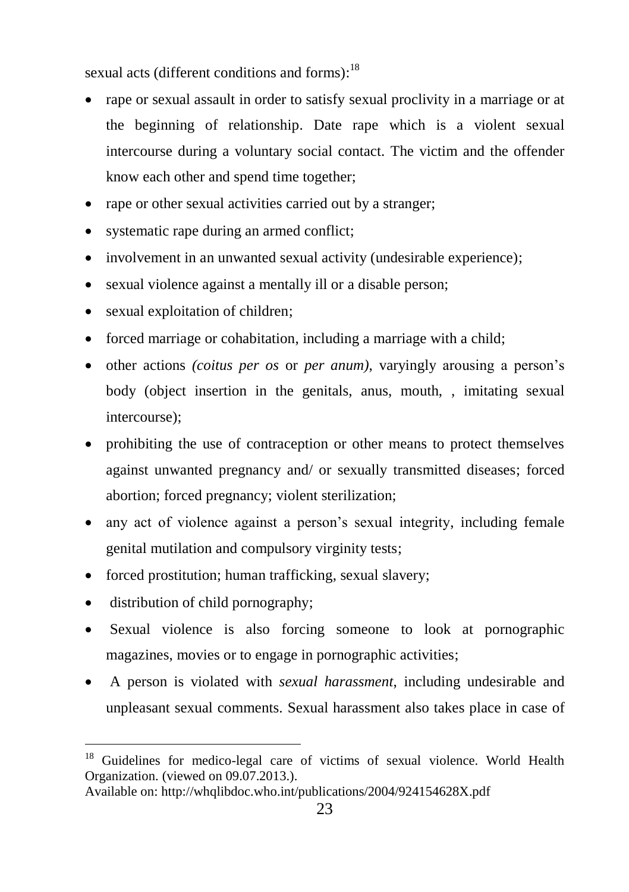sexual acts (different conditions and forms):<sup>18</sup>

- rape or sexual assault in order to satisfy sexual proclivity in a marriage or at the beginning of relationship. Date rape which is a violent sexual intercourse during a voluntary social contact. The victim and the offender know each other and spend time together;
- rape or other sexual activities carried out by a stranger;
- systematic rape during an armed conflict;
- involvement in an unwanted sexual activity (undesirable experience);
- sexual violence against a mentally ill or a disable person;
- sexual exploitation of children;
- forced marriage or cohabitation, including a marriage with a child;
- other actions *(coitus per os* or *per anum)*, varyingly arousing a person's body (object insertion in the genitals, anus, mouth, , imitating sexual intercourse);
- prohibiting the use of contraception or other means to protect themselves against unwanted pregnancy and/ or sexually transmitted diseases; forced abortion; forced pregnancy; violent sterilization;
- any act of violence against a person's sexual integrity, including female genital mutilation and compulsory virginity tests;
- forced prostitution; human trafficking, sexual slavery;
- distribution of child pornography;

- Sexual violence is also forcing someone to look at pornographic magazines, movies or to engage in pornographic activities;
- A person is violated with *sexual harassment*, including undesirable and unpleasant sexual comments. Sexual harassment also takes place in case of

<sup>&</sup>lt;sup>18</sup> Guidelines for medico-legal care of victims of sexual violence. World Health Organization. (viewed on 09.07.2013.).

Available on: http://whqlibdoc.who.int/publications/2004/924154628X.pdf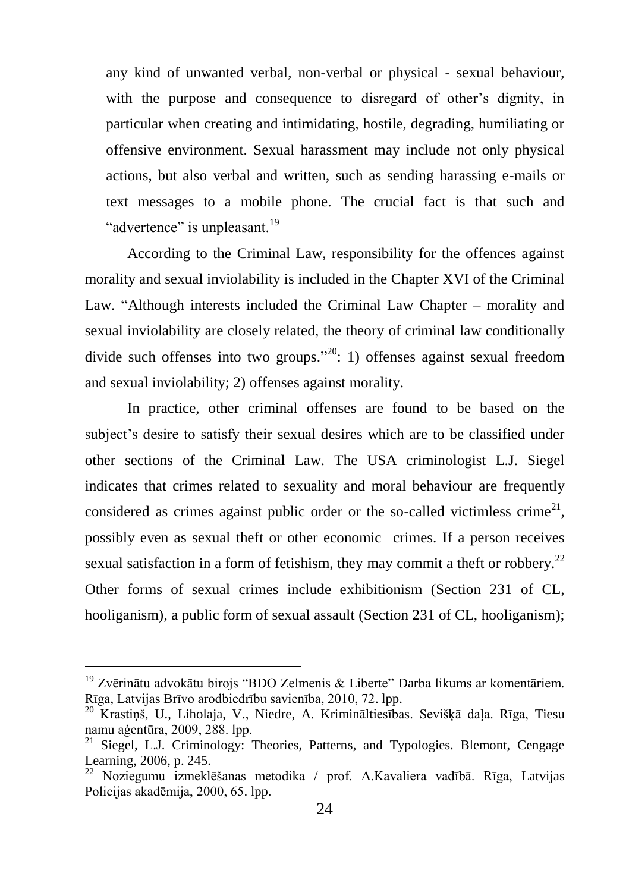any kind of unwanted verbal, non-verbal or physical - sexual behaviour, with the purpose and consequence to disregard of other's dignity, in particular when creating and intimidating, hostile, degrading, humiliating or offensive environment. Sexual harassment may include not only physical actions, but also verbal and written, such as sending harassing e-mails or text messages to a mobile phone. The crucial fact is that such and "advertence" is unpleasant.<sup>19</sup>

According to the Criminal Law, responsibility for the offences against morality and sexual inviolability is included in the Chapter XVI of the Criminal Law. "Although interests included the Criminal Law Chapter – morality and sexual inviolability are closely related, the theory of criminal law conditionally divide such offenses into two groups."<sup>20</sup>: 1) offenses against sexual freedom and sexual inviolability; 2) offenses against morality.

In practice, other criminal offenses are found to be based on the subject's desire to satisfy their sexual desires which are to be classified under other sections of the Criminal Law. The USA criminologist L.J. Siegel indicates that crimes related to sexuality and moral behaviour are frequently considered as crimes against public order or the so-called victimless crime<sup>21</sup>, possibly even as sexual theft or other economic crimes. If a person receives sexual satisfaction in a form of fetishism, they may commit a theft or robbery.<sup>22</sup> Other forms of sexual crimes include exhibitionism (Section 231 of CL, hooliganism), a public form of sexual assault (Section 231 of CL, hooliganism);

<sup>&</sup>lt;sup>19</sup> Zvērinātu advokātu birojs "BDO Zelmenis & Liberte" Darba likums ar komentāriem. Rīga, Latvijas Brīvo arodbiedrību savienība, 2010, 72. lpp.

<sup>20</sup> Krastiņš, U., Liholaja, V., Niedre, A. Krimināltiesības. Sevišķā daļa. Rīga, Tiesu namu aģentūra, 2009, 288. lpp.

<sup>&</sup>lt;sup>21</sup> Siegel, L.J. Criminology: Theories, Patterns, and Typologies. Blemont, Cengage Learning, 2006, p. 245.

<sup>22</sup> Noziegumu izmeklēšanas metodika / prof. A.Kavaliera vadībā. Rīga, Latvijas Policijas akadēmija, 2000, 65. lpp.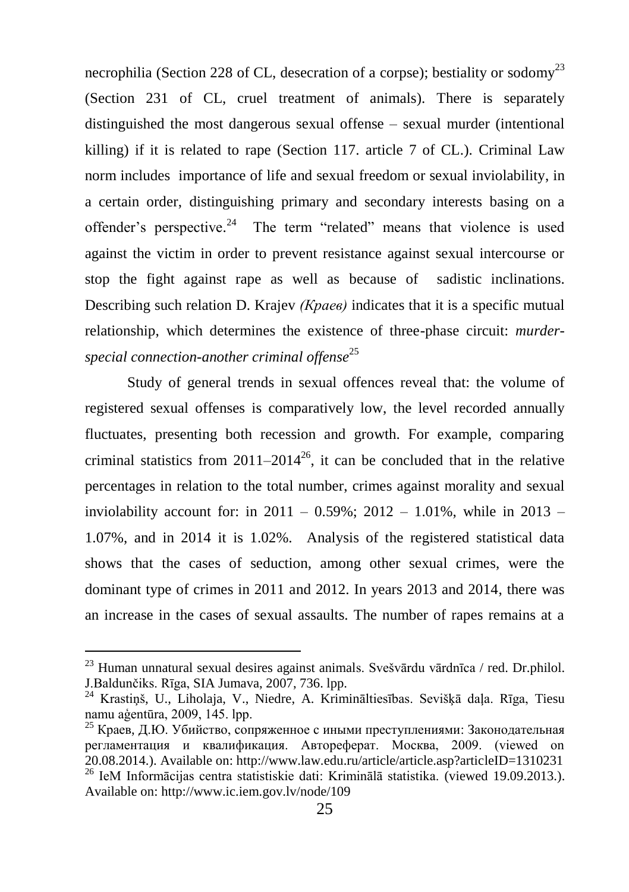necrophilia (Section 228 of CL, desecration of a corpse); bestiality or sodomy<sup>23</sup> (Section 231 of CL, cruel treatment of animals). There is separately distinguished the most dangerous sexual offense – sexual murder (intentional killing) if it is related to rape (Section 117. article 7 of CL.). Criminal Law norm includes importance of life and sexual freedom or sexual inviolability, in a certain order, distinguishing primary and secondary interests basing on a offender's perspective.<sup>24</sup> The term "related" means that violence is used against the victim in order to prevent resistance against sexual intercourse or stop the fight against rape as well as because of sadistic inclinations. Describing such relation D. Krajev *(Краев)* indicates that it is a specific mutual relationship, which determines the existence of three-phase circuit: *murderspecial connection-another criminal offense*<sup>25</sup>

Study of general trends in sexual offences reveal that: the volume of registered sexual offenses is comparatively low, the level recorded annually fluctuates, presenting both recession and growth. For example, comparing criminal statistics from  $2011-2014^{26}$ , it can be concluded that in the relative percentages in relation to the total number, crimes against morality and sexual inviolability account for: in  $2011 - 0.59\%$ ;  $2012 - 1.01\%$ , while in  $2013 -$ 1.07%, and in 2014 it is 1.02%. Analysis of the registered statistical data shows that the cases of seduction, among other sexual crimes, were the dominant type of crimes in 2011 and 2012. In years 2013 and 2014, there was an increase in the cases of sexual assaults. The number of rapes remains at a

 $^{23}$  Human unnatural sexual desires against animals. Svešvārdu vārdnīca / red. Dr.philol. J.Baldunčiks. Rīga, SIA Jumava, 2007, 736. lpp.

<sup>24</sup> Krastiņš, U., Liholaja, V., Niedre, A. Krimināltiesības. Sevišķā daļa. Rīga, Tiesu namu aģentūra, 2009, 145. lpp.

<sup>25</sup> Краев, Д.Ю. Убийство, сопряженное с иными преступлениями: Законодательная регламентация и квалификация. Автореферат. Москва, 2009. (viewed on 20.08.2014.). Available on: http://www.law.edu.ru/article/article.asp?articleID=1310231 <sup>26</sup> IeM Informācijas centra statistiskie dati: Kriminālā statistika. (viewed 19.09.2013.). Available on[: http://www.ic.iem.gov.lv/node/109](http://www.ic.iem.gov.lv/node/109)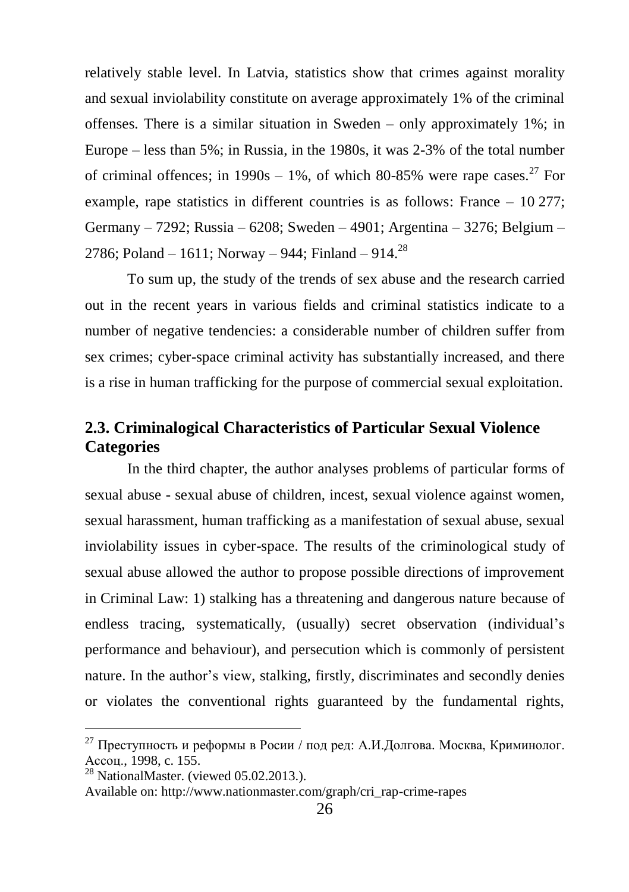relatively stable level. In Latvia, statistics show that crimes against morality and sexual inviolability constitute on average approximately 1% of the criminal offenses. There is a similar situation in Sweden – only approximately 1%; in Europe – less than 5%; in Russia, in the 1980s, it was 2-3% of the total number of criminal offences; in  $1990s - 1\%$ , of which 80-85% were rape cases.<sup>27</sup> For example, rape statistics in different countries is as follows: France – 10 277; Germany – 7292; Russia – 6208; Sweden – 4901; Argentina – 3276; Belgium – 2786; Poland – 1611; Norway – 944; Finland – 914.<sup>28</sup>

To sum up, the study of the trends of sex abuse and the research carried out in the recent years in various fields and criminal statistics indicate to a number of negative tendencies: a considerable number of children suffer from sex crimes; cyber-space criminal activity has substantially increased, and there is a rise in human trafficking for the purpose of commercial sexual exploitation.

# <span id="page-26-0"></span>**2.3. Criminalogical Characteristics of Particular Sexual Violence Categories**

In the third chapter, the author analyses problems of particular forms of sexual abuse - sexual abuse of children, incest, sexual violence against women, sexual harassment, human trafficking as a manifestation of sexual abuse, sexual inviolability issues in cyber-space. The results of the criminological study of sexual abuse allowed the author to propose possible directions of improvement in Criminal Law: 1) stalking has a threatening and dangerous nature because of endless tracing, systematically, (usually) secret observation (individual's performance and behaviour), and persecution which is commonly of persistent nature. In the author's view, stalking, firstly, discriminates and secondly denies or violates the conventional rights guaranteed by the fundamental rights,

<sup>&</sup>lt;sup>27</sup> Преступность и реформы в Росии / под ред: А.И.Долгова. Москва, Криминолог. Ассоц., 1998, c. 155.

 $28$  NationalMaster. (viewed 05.02.2013.).

Available on[: http://www.nationmaster.com/graph/cri\\_rap-crime-rapes](http://www.nationmaster.com/graph/cri_rap-crime-rapes)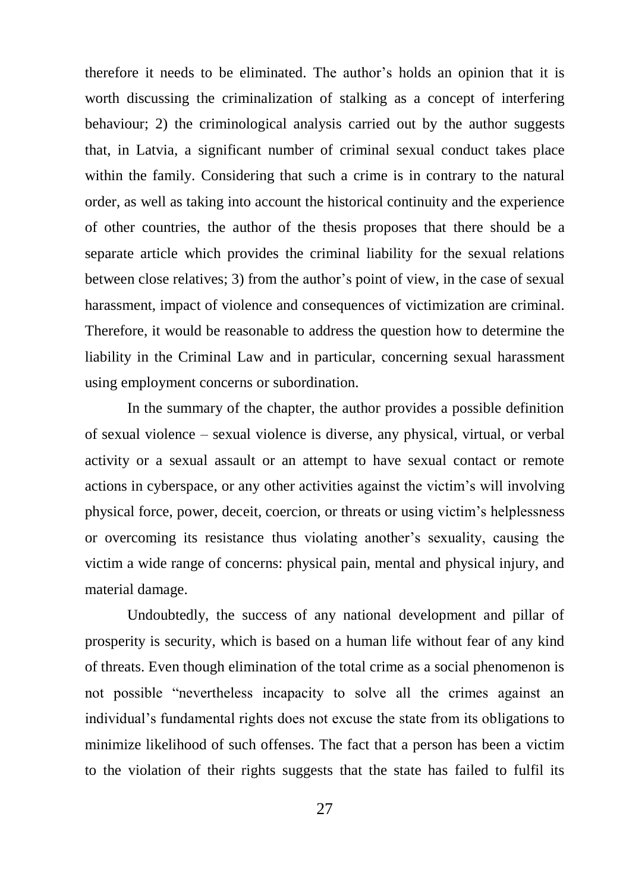therefore it needs to be eliminated. The author's holds an opinion that it is worth discussing the criminalization of stalking as a concept of interfering behaviour; 2) the criminological analysis carried out by the author suggests that, in Latvia, a significant number of criminal sexual conduct takes place within the family. Considering that such a crime is in contrary to the natural order, as well as taking into account the historical continuity and the experience of other countries, the author of the thesis proposes that there should be a separate article which provides the criminal liability for the sexual relations between close relatives; 3) from the author's point of view, in the case of sexual harassment, impact of violence and consequences of victimization are criminal. Therefore, it would be reasonable to address the question how to determine the liability in the Criminal Law and in particular, concerning sexual harassment using employment concerns or subordination.

In the summary of the chapter, the author provides a possible definition of sexual violence – sexual violence is diverse, any physical, virtual, or verbal activity or a sexual assault or an attempt to have sexual contact or remote actions in cyberspace, or any other activities against the victim's will involving physical force, power, deceit, coercion, or threats or using victim's helplessness or overcoming its resistance thus violating another's sexuality, causing the victim a wide range of concerns: physical pain, mental and physical injury, and material damage.

Undoubtedly, the success of any national development and pillar of prosperity is security, which is based on a human life without fear of any kind of threats. Even though elimination of the total crime as a social phenomenon is not possible "nevertheless incapacity to solve all the crimes against an individual's fundamental rights does not excuse the state from its obligations to minimize likelihood of such offenses. The fact that a person has been a victim to the violation of their rights suggests that the state has failed to fulfil its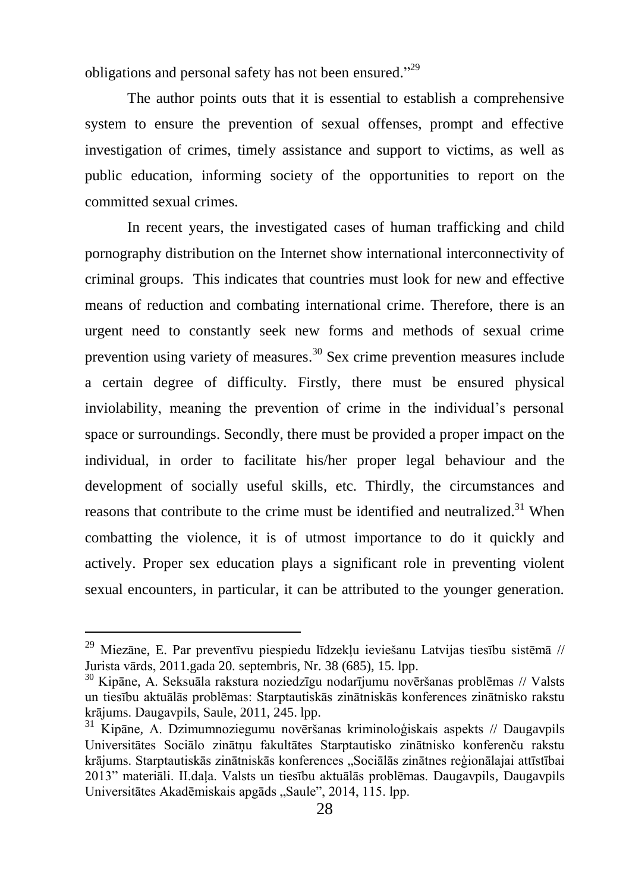obligations and personal safety has not been ensured."<sup>29</sup>

The author points outs that it is essential to establish a comprehensive system to ensure the prevention of sexual offenses, prompt and effective investigation of crimes, timely assistance and support to victims, as well as public education, informing society of the opportunities to report on the committed sexual crimes.

In recent years, the investigated cases of human trafficking and child pornography distribution on the Internet show international interconnectivity of criminal groups. This indicates that countries must look for new and effective means of reduction and combating international crime. Therefore, there is an urgent need to constantly seek new forms and methods of sexual crime prevention using variety of measures.<sup>30</sup> Sex crime prevention measures include a certain degree of difficulty. Firstly, there must be ensured physical inviolability, meaning the prevention of crime in the individual's personal space or surroundings. Secondly, there must be provided a proper impact on the individual, in order to facilitate his/her proper legal behaviour and the development of socially useful skills, etc. Thirdly, the circumstances and reasons that contribute to the crime must be identified and neutralized.<sup>31</sup> When combatting the violence, it is of utmost importance to do it quickly and actively. Proper sex education plays a significant role in preventing violent sexual encounters, in particular, it can be attributed to the younger generation.

 $^{29}$  Miezāne, E. Par preventīvu piespiedu līdzekļu ieviešanu Latvijas tiesību sistēmā // Jurista vārds, 2011.gada 20. septembris, Nr. 38 (685), 15. lpp.

<sup>30</sup> Kipāne, A. Seksuāla rakstura noziedzīgu nodarījumu novēršanas problēmas // Valsts un tiesību aktuālās problēmas: Starptautiskās zinātniskās konferences zinātnisko rakstu krājums. Daugavpils, Saule, 2011, 245. lpp.

<sup>31</sup> Kipāne, A. Dzimumnoziegumu novēršanas kriminoloģiskais aspekts // Daugavpils Universitātes Sociālo zinātņu fakultātes Starptautisko zinātnisko konferenču rakstu krājums. Starptautiskās zinātniskās konferences "Sociālās zinātnes reģionālajai attīstībai 2013" materiāli. II.daļa. Valsts un tiesību aktuālās problēmas. Daugavpils, Daugavpils Universitātes Akadēmiskais apgāds "Saule", 2014, 115. lpp.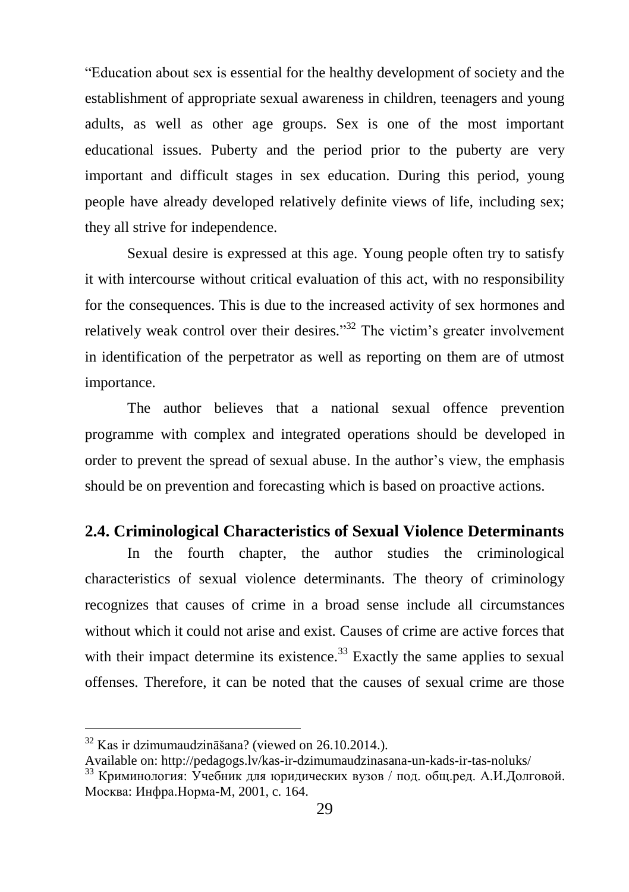"Education about sex is essential for the healthy development of society and the establishment of appropriate sexual awareness in children, teenagers and young adults, as well as other age groups. Sex is one of the most important educational issues. Puberty and the period prior to the puberty are very important and difficult stages in sex education. During this period, young people have already developed relatively definite views of life, including sex; they all strive for independence.

Sexual desire is expressed at this age. Young people often try to satisfy it with intercourse without critical evaluation of this act, with no responsibility for the consequences. This is due to the increased activity of sex hormones and relatively weak control over their desires."<sup>32</sup> The victim's greater involvement in identification of the perpetrator as well as reporting on them are of utmost importance.

The author believes that a national sexual offence prevention programme with complex and integrated operations should be developed in order to prevent the spread of sexual abuse. In the author's view, the emphasis should be on prevention and forecasting which is based on proactive actions.

## <span id="page-29-0"></span>**2.4. Criminological Characteristics of Sexual Violence Determinants**

In the fourth chapter, the author studies the criminological characteristics of sexual violence determinants. The theory of criminology recognizes that causes of crime in a broad sense include all circumstances without which it could not arise and exist. Causes of crime are active forces that with their impact determine its existence.<sup>33</sup> Exactly the same applies to sexual offenses. Therefore, it can be noted that the causes of sexual crime are those

<sup>32</sup> Kas ir dzimumaudzināšana? (viewed on 26.10.2014.).

Available on: http://pedagogs.lv/kas-ir-dzimumaudzinasana-un-kads-ir-tas-noluks/

<sup>&</sup>lt;sup>33</sup> Криминология: Учебник для юридических вузов / под. общ.ред. А.И.Долговой. Москва: Инфра.Норма-M, 2001, c. 164.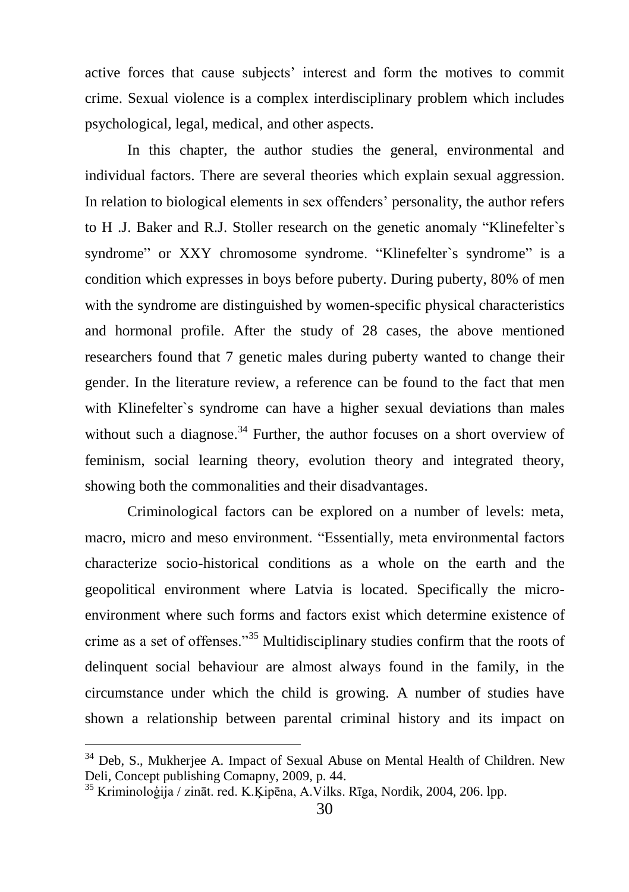active forces that cause subjects' interest and form the motives to commit crime. Sexual violence is a complex interdisciplinary problem which includes psychological, legal, medical, and other aspects.

In this chapter, the author studies the general, environmental and individual factors. There are several theories which explain sexual aggression. In relation to biological elements in sex offenders' personality, the author refers to H .J. Baker and R.J. Stoller research on the genetic anomaly "Klinefelter`s syndrome" or XXY chromosome syndrome. "Klinefelter's syndrome" is a condition which expresses in boys before puberty. During puberty, 80% of men with the syndrome are distinguished by women-specific physical characteristics and hormonal profile. After the study of 28 cases, the above mentioned researchers found that 7 genetic males during puberty wanted to change their gender. In the literature review, a reference can be found to the fact that men with Klinefelter`s syndrome can have a higher sexual deviations than males without such a diagnose.<sup>34</sup> Further, the author focuses on a short overview of feminism, social learning theory, evolution theory and integrated theory, showing both the commonalities and their disadvantages.

Criminological factors can be explored on a number of levels: meta, macro, micro and meso environment. "Essentially, meta environmental factors characterize socio-historical conditions as a whole on the earth and the geopolitical environment where Latvia is located. Specifically the microenvironment where such forms and factors exist which determine existence of crime as a set of offenses."<sup>35</sup> Multidisciplinary studies confirm that the roots of delinquent social behaviour are almost always found in the family, in the circumstance under which the child is growing. A number of studies have shown a relationship between parental criminal history and its impact on

<sup>&</sup>lt;sup>34</sup> Deb, S., Mukherjee A. Impact of Sexual Abuse on Mental Health of Children. New Deli, Concept publishing Comapny, 2009, p. 44.

<sup>35</sup> Kriminoloģija / zināt. red. K.Ķipēna, A.Vilks. Rīga, Nordik, 2004, 206. lpp.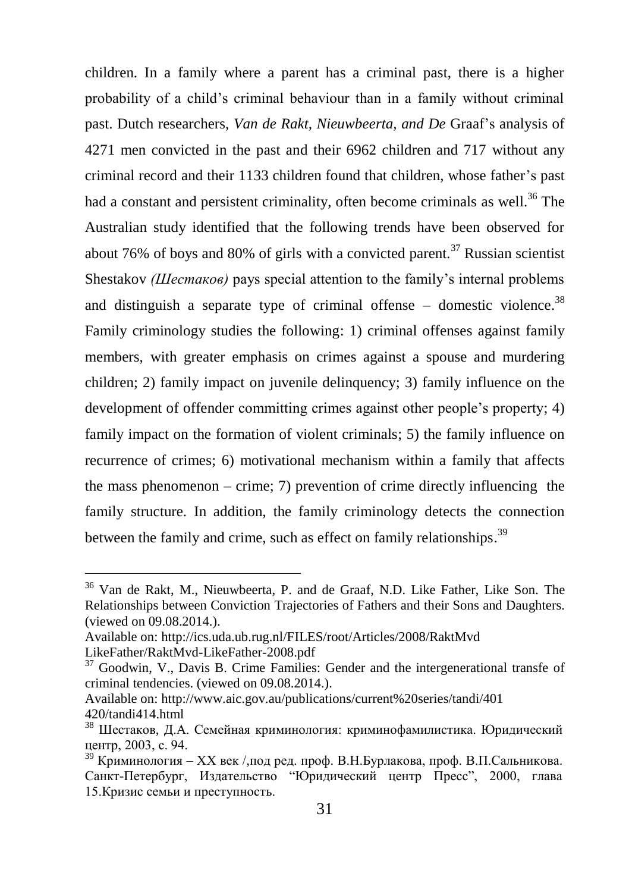children. In a family where a parent has a criminal past, there is a higher probability of a child's criminal behaviour than in a family without criminal past. Dutch researchers, *Van de Rakt, Nieuwbeerta, and De* Graaf's analysis of 4271 men convicted in the past and their 6962 children and 717 without any criminal record and their 1133 children found that children, whose father's past had a constant and persistent criminality, often become criminals as well.<sup>36</sup> The Australian study identified that the following trends have been observed for about 76% of boys and 80% of girls with a convicted parent*.* <sup>37</sup> Russian scientist Shestakov *(Шестаков)* pays special attention to the family's internal problems and distinguish a separate type of criminal offense – domestic violence.<sup>38</sup> Family criminology studies the following: 1) criminal offenses against family members, with greater emphasis on crimes against a spouse and murdering children; 2) family impact on juvenile delinquency; 3) family influence on the development of offender committing crimes against other people's property; 4) family impact on the formation of violent criminals; 5) the family influence on recurrence of crimes; 6) motivational mechanism within a family that affects the mass phenomenon – crime; 7) prevention of crime directly influencing the family structure. In addition, the family criminology detects the connection between the family and crime, such as effect on family relationships.<sup>39</sup>

<sup>36</sup> Van de Rakt, M., Nieuwbeerta, P. and de Graaf, N.D. Like Father, Like Son. The Relationships between Conviction Trajectories of Fathers and their Sons and Daughters. (viewed on 09.08.2014.).

Available on: http://ics.uda.ub.rug.nl/FILES/root/Articles/2008/RaktMvd LikeFather/RaktMvd-LikeFather-2008.pdf

<sup>37</sup> Goodwin, V., Davis B. Crime Families: Gender and the intergenerational transfe of criminal tendencies. (viewed on 09.08.2014.).

Available on: http://www.aic.gov.au/publications/current%20series/tandi/401 420/tandi414.html

<sup>&</sup>lt;sup>38</sup> Шестаков, Д.А. Семейная криминология: криминофамилистика. Юридический центр, 2003, c. 94.

<sup>&</sup>lt;sup>39</sup> Криминология – XX век / под ред. проф. В.Н.Бурлакова, проф. В.П.Сальникова. Санкт-Петербург, Издательство "Юридический центр Пресс", 2000, глава 15.Кризис семьи и преступность.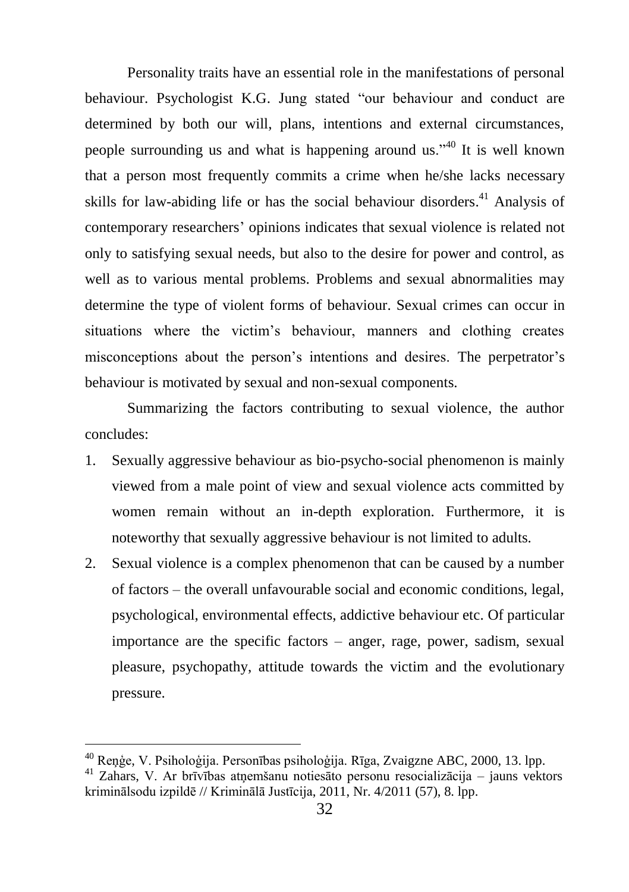Personality traits have an essential role in the manifestations of personal behaviour. Psychologist K.G. Jung stated "our behaviour and conduct are determined by both our will, plans, intentions and external circumstances, people surrounding us and what is happening around us."<sup>40</sup> It is well known that a person most frequently commits a crime when he/she lacks necessary skills for law-abiding life or has the social behaviour disorders.<sup>41</sup> Analysis of contemporary researchers' opinions indicates that sexual violence is related not only to satisfying sexual needs, but also to the desire for power and control, as well as to various mental problems. Problems and sexual abnormalities may determine the type of violent forms of behaviour. Sexual crimes can occur in situations where the victim's behaviour, manners and clothing creates misconceptions about the person's intentions and desires. The perpetrator's behaviour is motivated by sexual and non-sexual components.

Summarizing the factors contributing to sexual violence, the author concludes:

- 1. Sexually aggressive behaviour as bio-psycho-social phenomenon is mainly viewed from a male point of view and sexual violence acts committed by women remain without an in-depth exploration. Furthermore, it is noteworthy that sexually aggressive behaviour is not limited to adults.
- 2. Sexual violence is a complex phenomenon that can be caused by a number of factors – the overall unfavourable social and economic conditions, legal, psychological, environmental effects, addictive behaviour etc. Of particular importance are the specific factors – anger, rage, power, sadism, sexual pleasure, psychopathy, attitude towards the victim and the evolutionary pressure.

<sup>40</sup> Reņģe, V. Psiholoģija. Personības psiholoģija. Rīga, Zvaigzne ABC, 2000, 13. lpp.

<sup>41</sup> Zahars, V. Ar brīvības atņemšanu notiesāto personu resocializācija – jauns vektors kriminālsodu izpildē // Kriminālā Justīcija, 2011, Nr. 4/2011 (57), 8. lpp.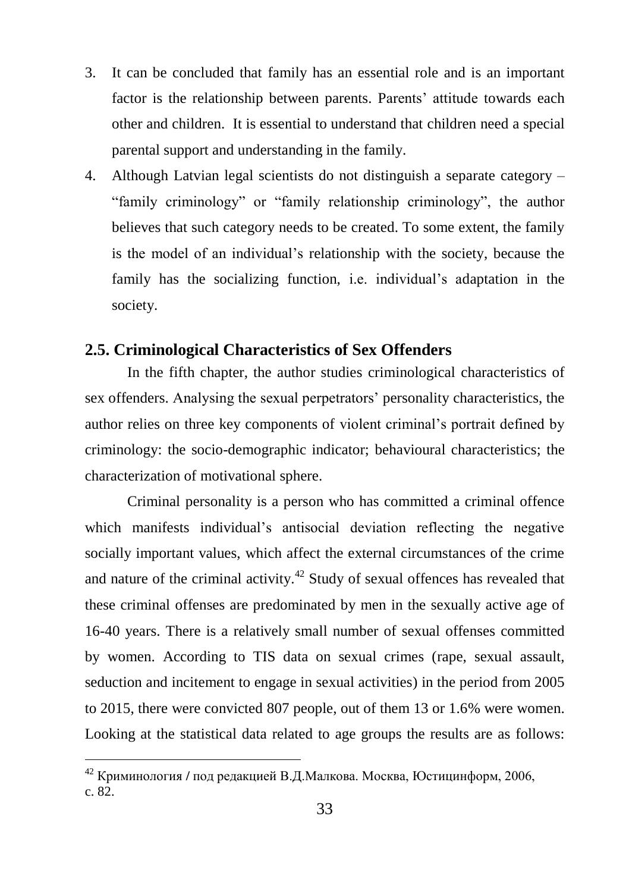- 3. It can be concluded that family has an essential role and is an important factor is the relationship between parents. Parents' attitude towards each other and children. It is essential to understand that children need a special parental support and understanding in the family.
- 4. Although Latvian legal scientists do not distinguish a separate category "family criminology" or "family relationship criminology", the author believes that such category needs to be created. To some extent, the family is the model of an individual's relationship with the society, because the family has the socializing function, i.e. individual's adaptation in the society.

## <span id="page-33-0"></span>**2.5. Criminological Characteristics of Sex Offenders**

In the fifth chapter, the author studies criminological characteristics of sex offenders. Analysing the sexual perpetrators' personality characteristics, the author relies on three key components of violent criminal's portrait defined by criminology: the socio-demographic indicator; behavioural characteristics; the characterization of motivational sphere.

Criminal personality is a person who has committed a criminal offence which manifests individual's antisocial deviation reflecting the negative socially important values, which affect the external circumstances of the crime and nature of the criminal activity.<sup>42</sup> Study of sexual offences has revealed that these criminal offenses are predominated by men in the sexually active age of 16-40 years. There is a relatively small number of sexual offenses committed by women. According to TIS data on sexual crimes (rape, sexual assault, seduction and incitement to engage in sexual activities) in the period from 2005 to 2015, there were convicted 807 people, out of them 13 or 1.6% were women. Looking at the statistical data related to age groups the results are as follows:

<sup>42</sup> Криминология **/** под редакцией В.Д.Малкова. Москва, Юcтицинформ, 2006, c. 82.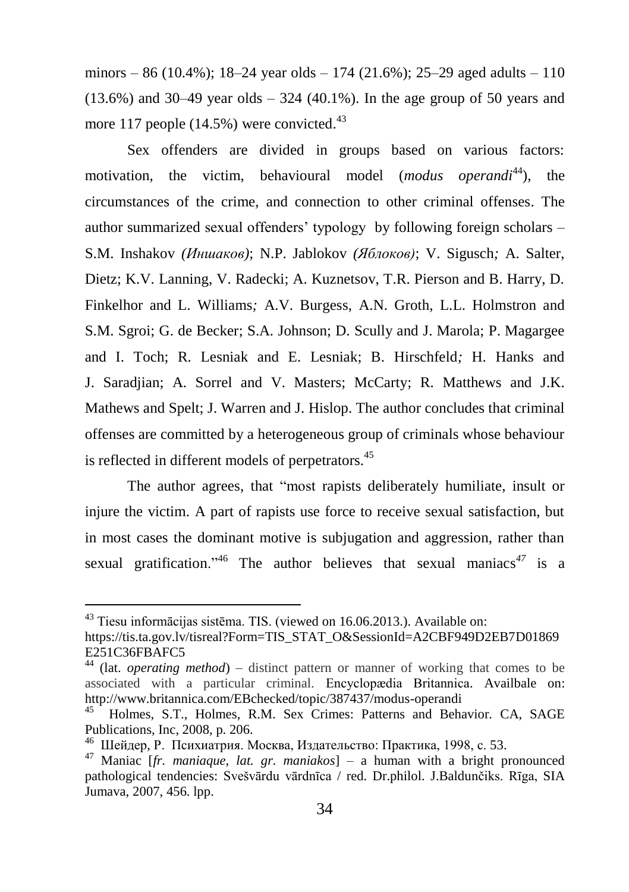minors – 86 (10.4%); 18–24 year olds – 174 (21.6%); 25–29 aged adults – 110  $(13.6%)$  and  $30-49$  year olds  $-324$  (40.1%). In the age group of 50 years and more 117 people  $(14.5\%)$  were convicted.<sup>43</sup>

Sex offenders are divided in groups based on various factors: motivation, the victim, behavioural model (*modus operandi*<sup>44</sup>), the circumstances of the crime, and connection to other criminal offenses. The author summarized sexual offenders' typology by following foreign scholars – S.M. Inshakov *(Иншаков)*; N.P. Jablokov *(Яблоков)*; V. Sigusch*;* A. Salter, Dietz; K.V. Lanning, V. Radecki; A. Kuznetsov, T.R. Pierson and B. Harry, D. Finkelhor and L. Williams*;* A.V. Burgess, A.N. Groth, L.L. Holmstron and S.M. Sgroi; G. de Becker; S.A. Johnson; D. Scully and J. Marola; P. Magargee and I. Toch; R. Lesniak and E. Lesniak; B. Hirschfeld*;* H. Hanks and J. Saradjian; A. Sorrel and V. Masters; McCarty; R. Matthews and J.K. Mathews and Spelt; J. Warren and J. Hislop. The author concludes that criminal offenses are committed by a heterogeneous group of criminals whose behaviour is reflected in different models of perpetrators.<sup>45</sup>

The author agrees, that "most rapists deliberately humiliate, insult or injure the victim. A part of rapists use force to receive sexual satisfaction, but in most cases the dominant motive is subjugation and aggression, rather than sexual gratification."<sup>46</sup> The author believes that sexual maniacs<sup> $47$ </sup> is a

 $43$  Tiesu informācijas sistēma. TIS. (viewed on 16.06.2013.). Available on:

https://tis.ta.gov.lv/tisreal?Form=TIS\_STAT\_O&SessionId=A2CBF949D2EB7D01869 E251C36FBAFC5

<sup>44</sup> (lat. *operating method*) – distinct pattern or manner of working that comes to be associated with a particular criminal. [Encyclopædia Britannica.](http://www.britannica.com/bps/user-profile/4419/the-editors-of-encyclopaedia-britannica) Availbale on: http://www.britannica.com/EBchecked/topic/387437/modus-operandi

<sup>45</sup> Holmes, S.T., Holmes, R.M. Sex Crimes: Patterns and Behavior*.* CA, SAGE Publications, Inc, 2008, p. 206.

<sup>46</sup> [Шейдер, Р.](http://www.labirint.ru/authors/49993/) Психиатрия. Mocквa, Издательство: [Практика,](http://www.labirint.ru/pubhouse/2289/) 1998, с. 53.

<sup>47</sup> Maniac [*fr. maniaque, lat. gr. maniakos*] – a human with a bright pronounced pathological tendencies: Svešvārdu vārdnīca / red. Dr.philol. J.Baldunčiks. Rīga, SIA Jumava, 2007, 456. lpp.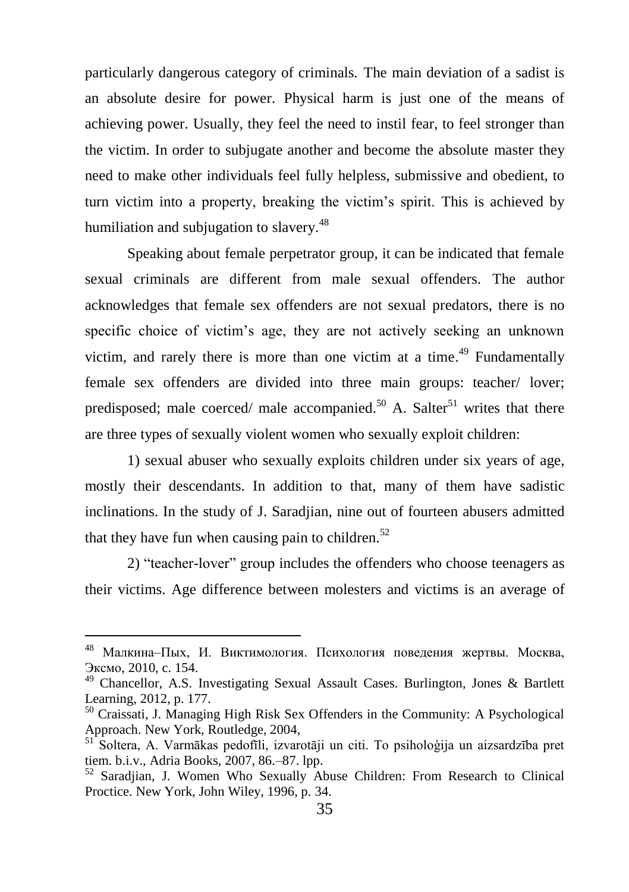particularly dangerous category of criminals*.* The main deviation of a sadist is an absolute desire for power. Physical harm is just one of the means of achieving power. Usually, they feel the need to instil fear, to feel stronger than the victim. In order to subjugate another and become the absolute master they need to make other individuals feel fully helpless, submissive and obedient, to turn victim into a property, breaking the victim's spirit. This is achieved by humiliation and subjugation to slavery.<sup>48</sup>

Speaking about female perpetrator group, it can be indicated that female sexual criminals are different from male sexual offenders. The author acknowledges that female sex offenders are not sexual predators, there is no specific choice of victim's age, they are not actively seeking an unknown victim, and rarely there is more than one victim at a time.<sup> $49$ </sup> Fundamentally female sex offenders are divided into three main groups: teacher/ lover; predisposed; male coerced/ male accompanied.<sup>50</sup> A. Salter<sup>51</sup> writes that there are three types of sexually violent women who sexually exploit children:

1) sexual abuser who sexually exploits children under six years of age, mostly their descendants. In addition to that, many of them have sadistic inclinations. In the study of J. Saradjian, nine out of fourteen abusers admitted that they have fun when causing pain to children. $52$ 

2) "teacher-lover" group includes the offenders who choose teenagers as their victims. Age difference between molesters and victims is an average of

<sup>48</sup> Малкина–Пых, И. Виктимология. Психология поведения жертвы. Москва, [Эксмо,](http://iknigi.net/filtr-po-knigam/izdatelstvo/%D0%AD%D0%BA%D1%81%D0%BC%D0%BE/) 2010, c. 154.

 $49$  Chancellor, A.S. Investigating Sexual Assault Cases. Burlington, Jones & Bartlett Learning, 2012, p. 177.

<sup>50</sup> Craissati, J. Managing High Risk Sex Offenders in the Community: A Psychological Approach. New York, Routledge, 2004,

<sup>51</sup> Soltera, A. Varmākas pedofīli, izvarotāji un citi. To psiholoģija un aizsardzība pret tiem. b.i.v., Adria Books, 2007, 86.–87. lpp.

<sup>52</sup> Saradjian, J. Women Who Sexually Abuse Children: From Research to Clinical Proctice. New York, John Wiley, 1996, p. 34.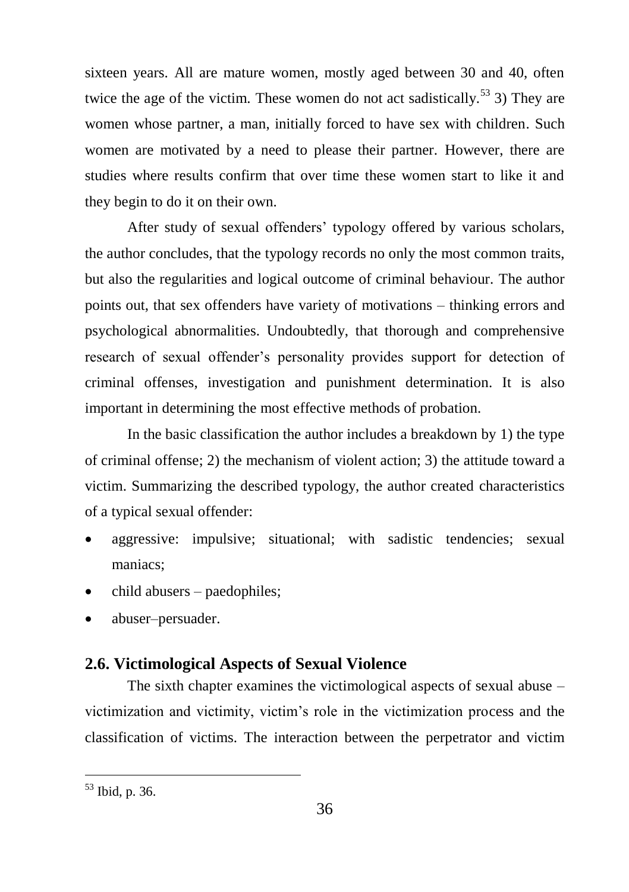sixteen years. All are mature women, mostly aged between 30 and 40, often twice the age of the victim. These women do not act sadistically.<sup>53</sup> 3) They are women whose partner, a man, initially forced to have sex with children. Such women are motivated by a need to please their partner. However, there are studies where results confirm that over time these women start to like it and they begin to do it on their own.

After study of sexual offenders' typology offered by various scholars, the author concludes, that the typology records no only the most common traits, but also the regularities and logical outcome of criminal behaviour. The author points out, that sex offenders have variety of motivations – thinking errors and psychological abnormalities. Undoubtedly, that thorough and comprehensive research of sexual offender's personality provides support for detection of criminal offenses, investigation and punishment determination. It is also important in determining the most effective methods of probation.

In the basic classification the author includes a breakdown by 1) the type of criminal offense; 2) the mechanism of violent action; 3) the attitude toward a victim. Summarizing the described typology, the author created characteristics of a typical sexual offender:

- aggressive: impulsive; situational; with sadistic tendencies; sexual maniacs;
- child abusers paedophiles;
- abuser–persuader.

## <span id="page-36-0"></span>**2.6. Victimological Aspects of Sexual Violence**

The sixth chapter examines the victimological aspects of sexual abuse – victimization and victimity, victim's role in the victimization process and the classification of victims. The interaction between the perpetrator and victim

<sup>53</sup> Ibid, p. 36.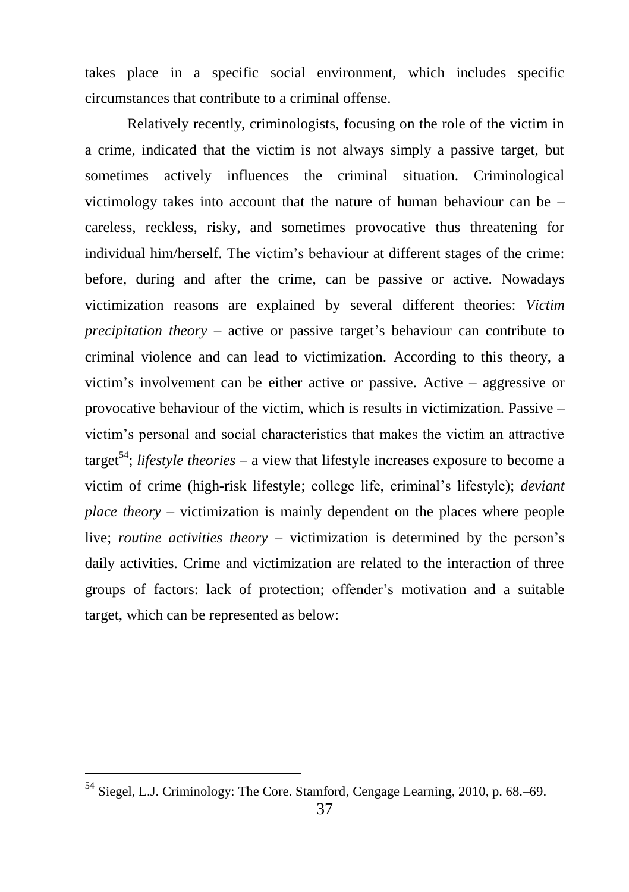takes place in a specific social environment, which includes specific circumstances that contribute to a criminal offense.

Relatively recently, criminologists, focusing on the role of the victim in a crime, indicated that the victim is not always simply a passive target, but sometimes actively influences the criminal situation. Criminological victimology takes into account that the nature of human behaviour can be – careless, reckless, risky, and sometimes provocative thus threatening for individual him/herself. The victim's behaviour at different stages of the crime: before, during and after the crime, can be passive or active. Nowadays victimization reasons are explained by several different theories: *Victim precipitation theory* – active or passive target's behaviour can contribute to criminal violence and can lead to victimization. According to this theory, a victim's involvement can be either active or passive. Active – aggressive or provocative behaviour of the victim, which is results in victimization. Passive – victim's personal and social characteristics that makes the victim an attractive target<sup>54</sup>; *lifestyle theories* – a view that lifestyle increases exposure to become a victim of crime (high-risk lifestyle; college life, criminal's lifestyle); *deviant place theory* – victimization is mainly dependent on the places where people live; *routine activities theory* – victimization is determined by the person's daily activities. Crime and victimization are related to the interaction of three groups of factors: lack of protection; offender's motivation and a suitable target, which can be represented as below:

<sup>&</sup>lt;sup>54</sup> Siegel, L.J. Criminology: The Core. Stamford, Cengage Learning, 2010, p. 68.–69.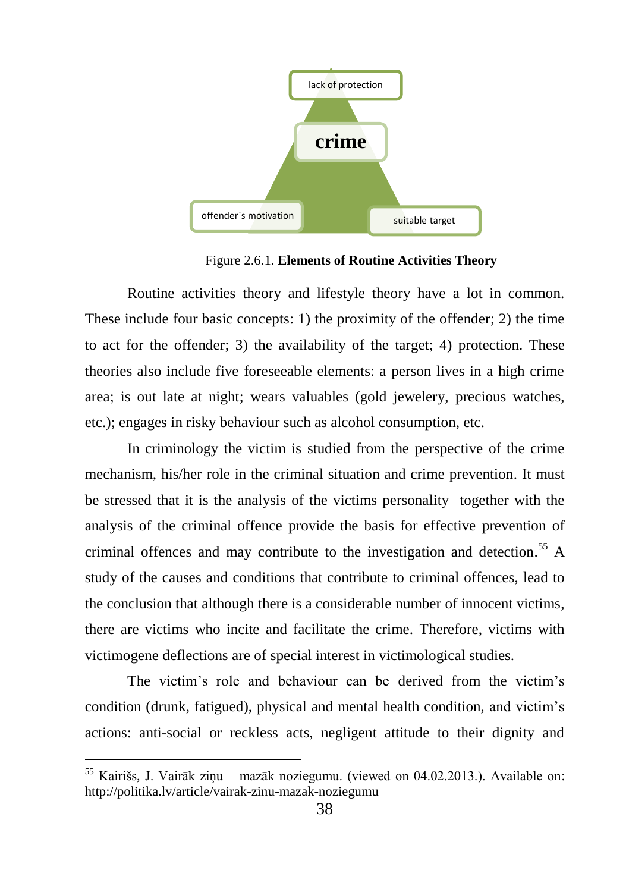

Figure 2.6.1. **Elements of Routine Activities Theory**

Routine activities theory and lifestyle theory have a lot in common. These include four basic concepts: 1) the proximity of the offender; 2) the time to act for the offender; 3) the availability of the target; 4) protection. These theories also include five foreseeable elements: a person lives in a high crime area; is out late at night; wears valuables (gold jewelery, precious watches, etc.); engages in risky behaviour such as alcohol consumption, etc.

In criminology the victim is studied from the perspective of the crime mechanism, his/her role in the criminal situation and crime prevention. It must be stressed that it is the analysis of the victims personality together with the analysis of the criminal offence provide the basis for effective prevention of criminal offences and may contribute to the investigation and detection. <sup>55</sup> A study of the causes and conditions that contribute to criminal offences, lead to the conclusion that although there is a considerable number of innocent victims, there are victims who incite and facilitate the crime. Therefore, victims with victimogene deflections are of special interest in victimological studies.

The victim's role and behaviour can be derived from the victim's condition (drunk, fatigued), physical and mental health condition, and victim's actions: anti-social or reckless acts, negligent attitude to their dignity and

<sup>55</sup> Kairišs, J. Vairāk ziņu – mazāk noziegumu. (viewed on 04.02.2013.). Available on: http://politika.lv/article/vairak-zinu-mazak-noziegumu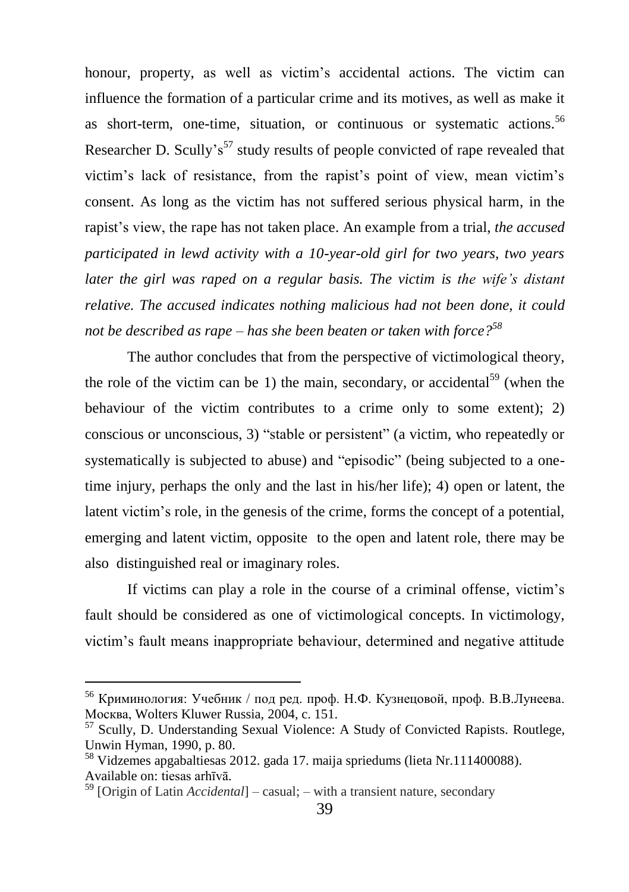honour, property, as well as victim's accidental actions. The victim can influence the formation of a particular crime and its motives, as well as make it as short-term, one-time, situation, or continuous or systematic actions.<sup>56</sup> Researcher D. Scully's<sup>57</sup> study results of people convicted of rape revealed that victim's lack of resistance, from the rapist's point of view, mean victim's consent. As long as the victim has not suffered serious physical harm, in the rapist's view, the rape has not taken place. An example from a trial, *the accused participated in lewd activity with a 10-year-old girl for two years, two years later the girl was raped on a regular basis. The victim is the wife's distant relative. The accused indicates nothing malicious had not been done, it could not be described as rape – has she been beaten or taken with force?<sup>58</sup>*

The author concludes that from the perspective of victimological theory, the role of the victim can be 1) the main, secondary, or accidental<sup>59</sup> (when the behaviour of the victim contributes to a crime only to some extent); 2) conscious or unconscious, 3) "stable or persistent" (a victim, who repeatedly or systematically is subjected to abuse) and "episodic" (being subjected to a onetime injury, perhaps the only and the last in his/her life); 4) open or latent, the latent victim's role, in the genesis of the crime, forms the concept of a potential, emerging and latent victim, opposite to the open and latent role, there may be also distinguished real or imaginary roles.

If victims can play a role in the course of a criminal offense, victim's fault should be considered as one of victimological concepts. In victimology, victim's fault means inappropriate behaviour, determined and negative attitude

<sup>56</sup> Криминология: Учебник / под ред. проф. Н.Ф. Кузнецовой, проф. В.В.Лунеева. Москва, Wolters Kluwer Russia, 2004, c. 151.

<sup>57</sup> Scully, D. Understanding Sexual Violence: A Study of Convicted Rapists*.* Routlege, Unwin Hyman, 1990, p. 80.

<sup>58</sup> Vidzemes apgabaltiesas 2012. gada 17. maija spriedums (lieta Nr.111400088). Available on: tiesas arhīvā.

<sup>59</sup> [Origin of Latin *Accidental*] – casual; – with a transient nature, secondary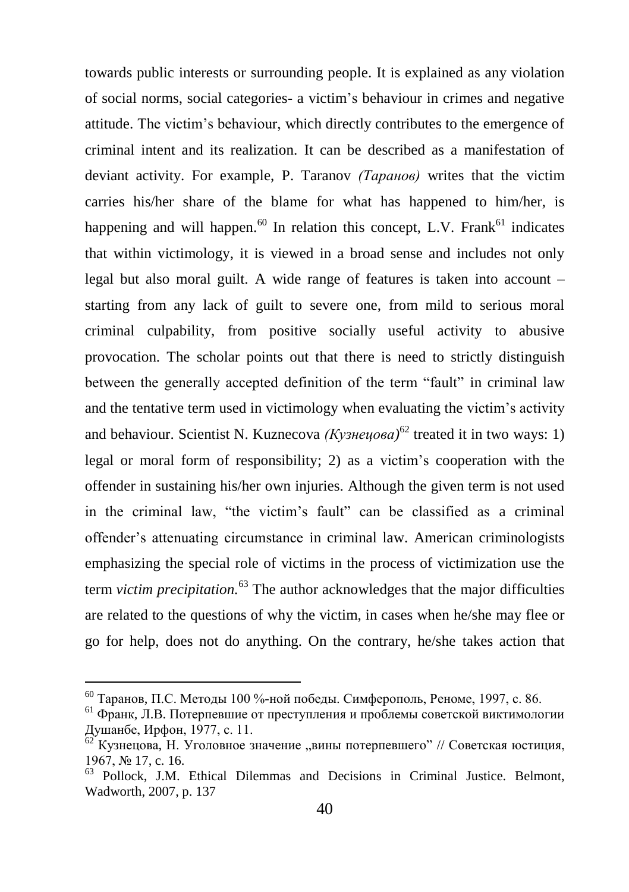towards public interests or surrounding people. It is explained as any violation of social norms, social categories- a victim's behaviour in crimes and negative attitude. The victim's behaviour, which directly contributes to the emergence of criminal intent and its realization. It can be described as a manifestation of deviant activity. For example, P. Taranov *(Таранов)* writes that the victim carries his/her share of the blame for what has happened to him/her, is happening and will happen.<sup>60</sup> In relation this concept, L.V. Frank<sup>61</sup> indicates that within victimology, it is viewed in a broad sense and includes not only legal but also moral guilt. A wide range of features is taken into account – starting from any lack of guilt to severe one, from mild to serious moral criminal culpability, from positive socially useful activity to abusive provocation. The scholar points out that there is need to strictly distinguish between the generally accepted definition of the term "fault" in criminal law and the tentative term used in victimology when evaluating the victim's activity and behaviour. Scientist N. Kuznecova *(Кузнецова)* <sup>62</sup> treated it in two ways: 1) legal or moral form of responsibility; 2) as a victim's cooperation with the offender in sustaining his/her own injuries. Although the given term is not used in the criminal law, "the victim's fault" can be classified as a criminal offender's attenuating circumstance in criminal law. American criminologists emphasizing the special role of victims in the process of victimization use the term *victim precipitation.*<sup>63</sup> The author acknowledges that the major difficulties are related to the questions of why the victim, in cases when he/she may flee or go for help, does not do anything. On the contrary, he/she takes action that

 $^{60}$  Таранов, П.С. Методы 100 %-ной победы. Симферополь, Реноме, 1997, с. 86.

<sup>61</sup> Франк, Л.B. Потерпевшие от преступления и проблемы советской виктимологии Душанбе, Ирфон, 1977, c. 11.

 $62$  Кузнецова, Н. Уголовное значение "вины потерпевшего" // Советская юстиция, 1967, № 17, c. 16.

<sup>63</sup> Pollock, J.M. Ethical Dilemmas and Decisions in Criminal Justice. Belmont, Wadworth, 2007, p. 137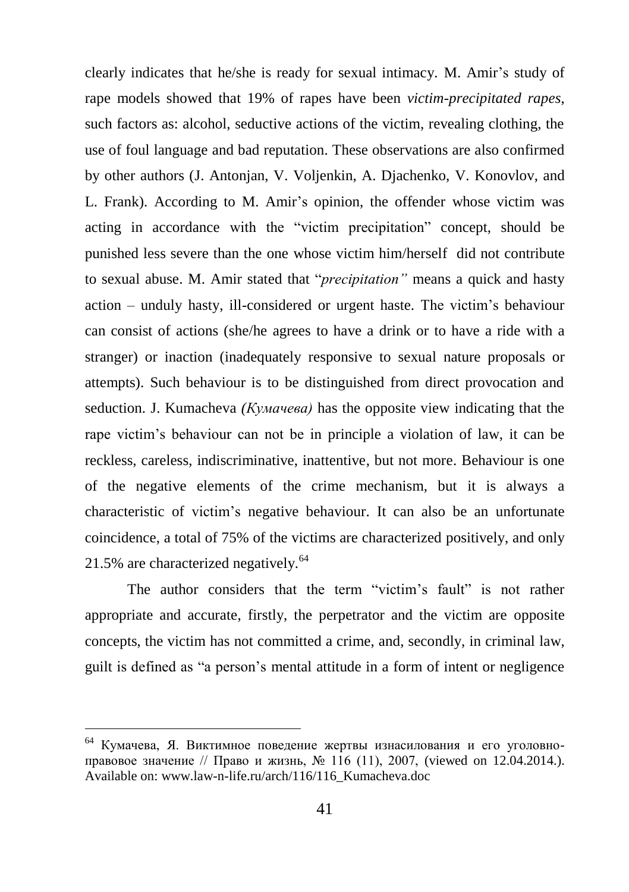clearly indicates that he/she is ready for sexual intimacy. M. Amir's study of rape models showed that 19% of rapes have been *victim-precipitated rapes*, such factors as: alcohol, seductive actions of the victim, revealing clothing, the use of foul language and bad reputation. These observations are also confirmed by other authors (J. Antonjan, V. Voljenkin, A. Djachenko, V. Konovlov, and L. Frank). According to M. Amir's opinion, the offender whose victim was acting in accordance with the "victim precipitation" concept, should be punished less severe than the one whose victim him/herself did not contribute to sexual abuse. M. Amir stated that "*precipitation"* means a quick and hasty action – unduly hasty, ill-considered or urgent haste. The victim's behaviour can consist of actions (she/he agrees to have a drink or to have a ride with a stranger) or inaction (inadequately responsive to sexual nature proposals or attempts). Such behaviour is to be distinguished from direct provocation and seduction. J. Kumacheva *(Кумачева)* has the opposite view indicating that the rape victim's behaviour can not be in principle a violation of law, it can be reckless, careless, indiscriminative, inattentive, but not more. Behaviour is one of the negative elements of the crime mechanism, but it is always a characteristic of victim's negative behaviour. It can also be an unfortunate coincidence, a total of 75% of the victims are characterized positively, and only  $21.5\%$  are characterized negatively.<sup>64</sup>

The author considers that the term "victim's fault" is not rather appropriate and accurate, firstly, the perpetrator and the victim are opposite concepts, the victim has not committed a crime, and, secondly, in criminal law, guilt is defined as "a person's mental attitude in a form of intent or negligence

<sup>&</sup>lt;sup>64</sup> Кумачева, Я. Виктимное поведение жертвы изнасилования и его уголовноправовое значение // Право и жизнь, № 116 (11), 2007, (viewed on 12.04.2014.). Available on[: www.law-n-life.ru/arch/116/116\\_Kumacheva.doc](http://www.law-n-life.ru/arch/116/116_Kumacheva.doc)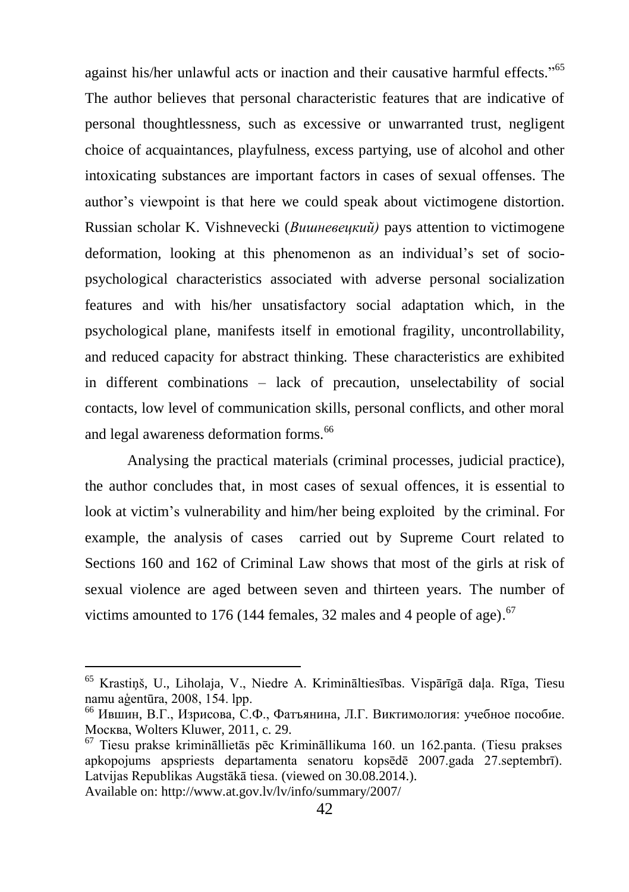against his/her unlawful acts or inaction and their causative harmful effects."<sup>65</sup> The author believes that personal characteristic features that are indicative of personal thoughtlessness, such as excessive or unwarranted trust, negligent choice of acquaintances, playfulness, excess partying, use of alcohol and other intoxicating substances are important factors in cases of sexual offenses. The author's viewpoint is that here we could speak about victimogene distortion. Russian scholar K. Vishnevecki (*Вишневецкий)* pays attention to victimogene deformation, looking at this phenomenon as an individual's set of sociopsychological characteristics associated with adverse personal socialization features and with his/her unsatisfactory social adaptation which, in the psychological plane, manifests itself in emotional fragility, uncontrollability, and reduced capacity for abstract thinking. These characteristics are exhibited in different combinations – lack of precaution, unselectability of social contacts, low level of communication skills, personal conflicts, and other moral and legal awareness deformation forms.<sup>66</sup>

Analysing the practical materials (criminal processes, judicial practice), the author concludes that, in most cases of sexual offences, it is essential to look at victim's vulnerability and him/her being exploited by the criminal. For example, the analysis of cases carried out by Supreme Court related to Sections 160 and 162 of Criminal Law shows that most of the girls at risk of sexual violence are aged between seven and thirteen years. The number of victims amounted to 176 (144 females, 32 males and 4 people of age). $67$ 

Available on: http://www.at.gov.lv/lv/info/summary/2007/

<sup>65</sup> Krastiņš, U., Liholaja, V., Niedre A. Krimināltiesības. Vispārīgā daļa. Rīga, Tiesu namu aģentūra, 2008, 154. lpp.

<sup>66</sup> Ившин, В.Г., Изрисова, С.Ф., Фатъянина, Л.Г. Виктимология: учебное пособие. Москва, Wolters Kluwer, 2011, c. 29.

<sup>67</sup> Tiesu prakse krimināllietās pēc Krimināllikuma 160. un 162.panta. (Tiesu prakses apkopojums apspriests departamenta senatoru kopsēdē 2007.gada 27.septembrī). Latvijas Republikas Augstākā tiesa. (viewed on 30.08.2014.).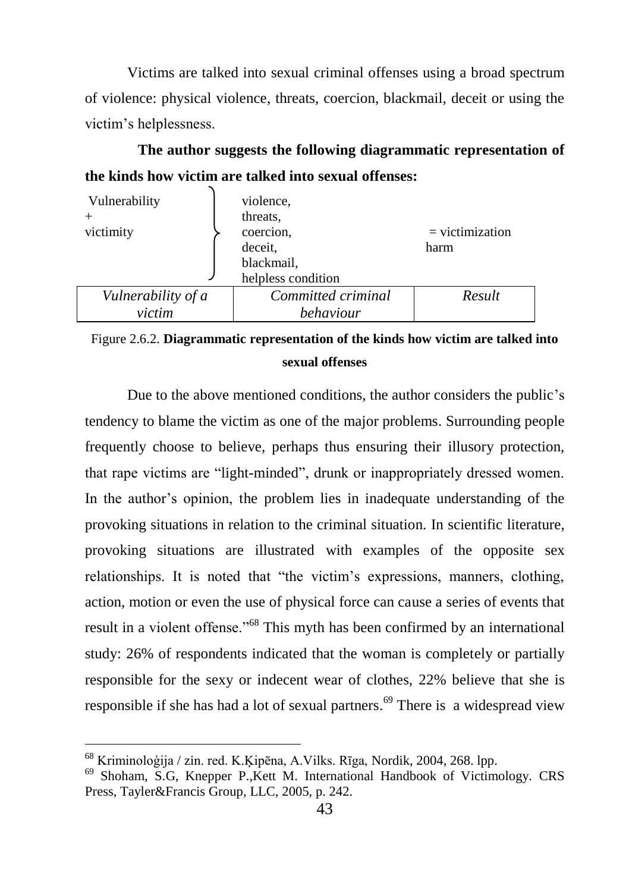Victims are talked into sexual criminal offenses using a broad spectrum of violence: physical violence, threats, coercion, blackmail, deceit or using the victim's helplessness.

**The author suggests the following diagrammatic representation of the kinds how victim are talked into sexual offenses:** 

| Vulnerability      | violence,          |                   |
|--------------------|--------------------|-------------------|
|                    | threats.           |                   |
| victimity          | coercion,          | $=$ victimization |
|                    | deceit,            | harm              |
|                    | blackmail,         |                   |
|                    | helpless condition |                   |
| Vulnerability of a | Committed criminal | Result            |
| victim             | behaviour          |                   |

# Figure 2.6.2. **Diagrammatic representation of the kinds how victim are talked into sexual offenses**

Due to the above mentioned conditions, the author considers the public's tendency to blame the victim as one of the major problems. Surrounding people frequently choose to believe, perhaps thus ensuring their illusory protection, that rape victims are "light-minded", drunk or inappropriately dressed women. In the author's opinion, the problem lies in inadequate understanding of the provoking situations in relation to the criminal situation. In scientific literature, provoking situations are illustrated with examples of the opposite sex relationships. It is noted that "the victim's expressions, manners, clothing, action, motion or even the use of physical force can cause a series of events that result in a violent offense."<sup>68</sup> This myth has been confirmed by an international study: 26% of respondents indicated that the woman is completely or partially responsible for the sexy or indecent wear of clothes, 22% believe that she is responsible if she has had a lot of sexual partners.<sup>69</sup> There is a widespread view

<sup>68</sup> Kriminoloģija / zin. red. K.Ķipēna, A.Vilks. Rīga, Nordik, 2004, 268. lpp.

<sup>69</sup> Shoham, S.G, Knepper P.,Kett M. International Handbook of Victimology. CRS Press, Tayler&Francis Group, LLC, 2005, p. 242.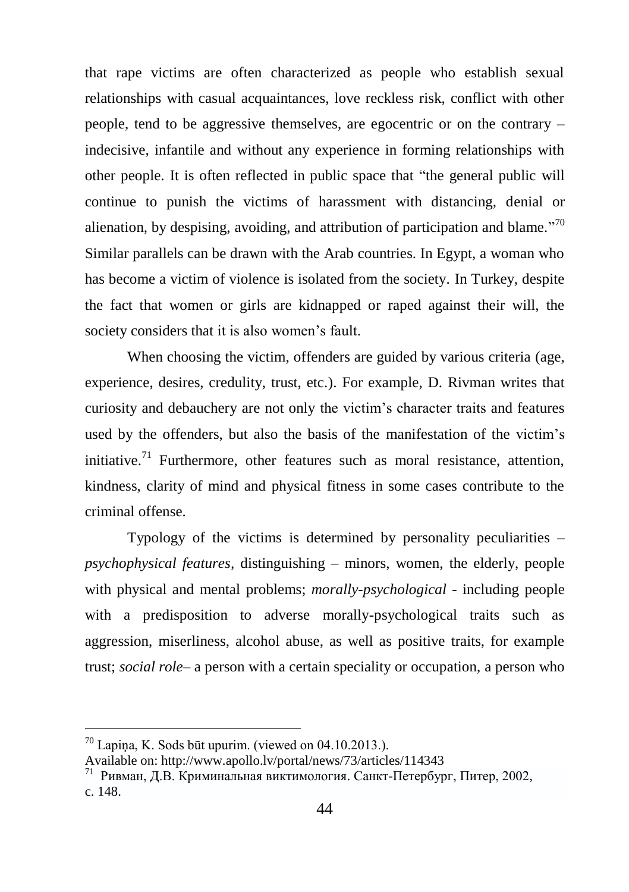that rape victims are often characterized as people who establish sexual relationships with casual acquaintances, love reckless risk, conflict with other people, tend to be aggressive themselves, are egocentric or on the contrary – indecisive, infantile and without any experience in forming relationships with other people. It is often reflected in public space that "the general public will continue to punish the victims of harassment with distancing, denial or alienation, by despising, avoiding, and attribution of participation and blame."<sup>70</sup> Similar parallels can be drawn with the Arab countries. In Egypt, a woman who has become a victim of violence is isolated from the society. In Turkey, despite the fact that women or girls are kidnapped or raped against their will, the society considers that it is also women's fault.

When choosing the victim, offenders are guided by various criteria (age, experience, desires, credulity, trust, etc.). For example, D. Rivman writes that curiosity and debauchery are not only the victim's character traits and features used by the offenders, but also the basis of the manifestation of the victim's initiative.<sup>71</sup> Furthermore, other features such as moral resistance, attention, kindness, clarity of mind and physical fitness in some cases contribute to the criminal offense.

Typology of the victims is determined by personality peculiarities – *psychophysical features,* distinguishing – minors, women, the elderly, people with physical and mental problems; *morally-psychological -* including people with a predisposition to adverse morally-psychological traits such as aggression, miserliness, alcohol abuse, as well as positive traits, for example trust; *social role*– a person with a certain speciality or occupation, a person who

 $70$  Lapiņa, K. Sods būt upurim. (viewed on 04.10.2013.).

Available on: http://www.apollo.lv/portal/news/73/articles/114343

<sup>71</sup> [Ривман,](http://lib.rus.ec/a/62275) Д.В. Криминальная виктимология. Санкт-Петербург, Питер, 2002, c. 148.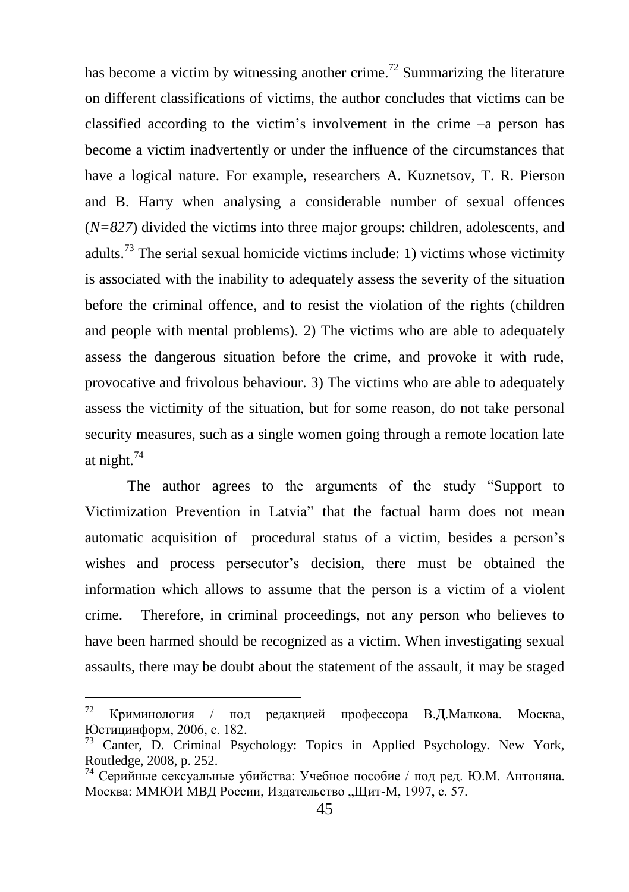has become a victim by witnessing another crime.<sup>72</sup> Summarizing the literature on different classifications of victims, the author concludes that victims can be classified according to the victim's involvement in the crime *–*a person has become a victim inadvertently or under the influence of the circumstances that have a logical nature. For example, researchers A. Kuznetsov, T. R. Pierson and B. Harry when analysing a considerable number of sexual offences (*N=827*) divided the victims into three major groups: children, adolescents, and adults.<sup>73</sup> The serial sexual homicide victims include: 1) victims whose victimity is associated with the inability to adequately assess the severity of the situation before the criminal offence, and to resist the violation of the rights (children and people with mental problems). 2) The victims who are able to adequately assess the dangerous situation before the crime, and provoke it with rude, provocative and frivolous behaviour. 3) The victims who are able to adequately assess the victimity of the situation, but for some reason, do not take personal security measures, such as a single women going through a remote location late at night.<sup>74</sup>

The author agrees to the arguments of the study "Support to Victimization Prevention in Latvia" that the factual harm does not mean automatic acquisition of procedural status of a victim, besides a person's wishes and process persecutor's decision, there must be obtained the information which allows to assume that the person is a victim of a violent crime. Therefore, in criminal proceedings, not any person who believes to have been harmed should be recognized as a victim. When investigating sexual assaults, there may be doubt about the statement of the assault, it may be staged

 $72$ <sup>72</sup> Криминoлогия / под редакцией профессора В.Д.Малкова. Москва, Юстицинформ, 2006, c. 182.

<sup>73</sup> Canter, D. Criminal Psychology: Topics in Applied Psychology. New York, Routledge, 2008, p. 252.

 $74$  Серийные сексуальные убийства: Учебное пособие / под ред. Ю.М. Антоняна. Москва: ММЮИ МВД России, Издательство "Щит-М, 1997, с. 57.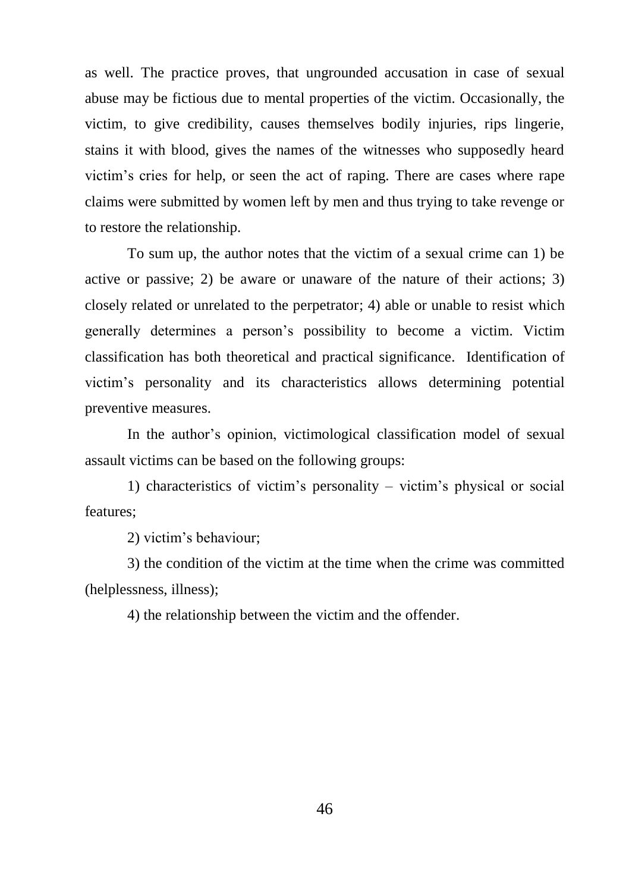as well. The practice proves, that ungrounded accusation in case of sexual abuse may be fictious due to mental properties of the victim. Occasionally, the victim, to give credibility, causes themselves bodily injuries, rips lingerie, stains it with blood, gives the names of the witnesses who supposedly heard victim's cries for help, or seen the act of raping. There are cases where rape claims were submitted by women left by men and thus trying to take revenge or to restore the relationship.

To sum up, the author notes that the victim of a sexual crime can 1) be active or passive; 2) be aware or unaware of the nature of their actions; 3) closely related or unrelated to the perpetrator; 4) able or unable to resist which generally determines a person's possibility to become a victim. Victim classification has both theoretical and practical significance. Identification of victim's personality and its characteristics allows determining potential preventive measures.

In the author's opinion, victimological classification model of sexual assault victims can be based on the following groups:

1) characteristics of victim's personality – victim's physical or social features;

2) victim's behaviour;

3) the condition of the victim at the time when the crime was committed (helplessness, illness);

4) the relationship between the victim and the offender.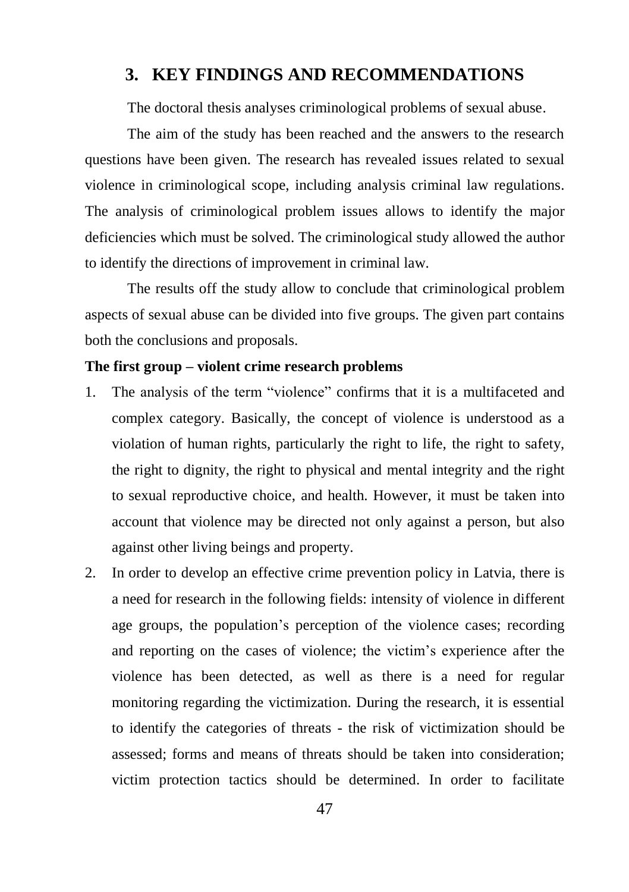# <span id="page-47-0"></span>**3. KEY FINDINGS AND RECOMMENDATIONS**

The doctoral thesis analyses criminological problems of sexual abuse.

The aim of the study has been reached and the answers to the research questions have been given. The research has revealed issues related to sexual violence in criminological scope, including analysis criminal law regulations. The analysis of criminological problem issues allows to identify the major deficiencies which must be solved. The criminological study allowed the author to identify the directions of improvement in criminal law.

The results off the study allow to conclude that criminological problem aspects of sexual abuse can be divided into five groups. The given part contains both the conclusions and proposals.

#### **The first group – violent crime research problems**

- 1. The analysis of the term "violence" confirms that it is a multifaceted and complex category. Basically, the concept of violence is understood as a violation of human rights, particularly the right to life, the right to safety, the right to dignity, the right to physical and mental integrity and the right to sexual reproductive choice, and health. However, it must be taken into account that violence may be directed not only against a person, but also against other living beings and property.
- 2. In order to develop an effective crime prevention policy in Latvia, there is a need for research in the following fields: intensity of violence in different age groups, the population's perception of the violence cases; recording and reporting on the cases of violence; the victim's experience after the violence has been detected, as well as there is a need for regular monitoring regarding the victimization. During the research, it is essential to identify the categories of threats - the risk of victimization should be assessed; forms and means of threats should be taken into consideration; victim protection tactics should be determined. In order to facilitate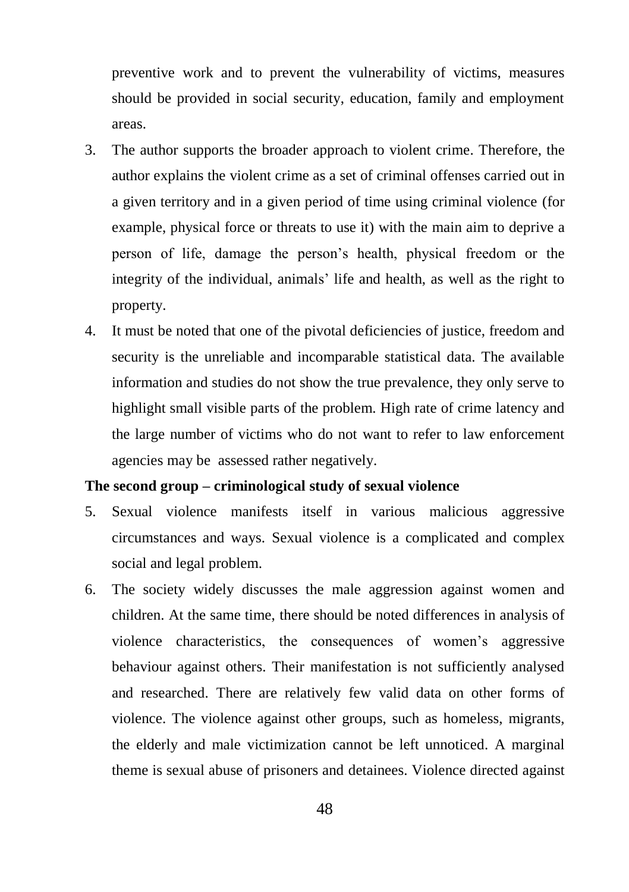preventive work and to prevent the vulnerability of victims, measures should be provided in social security, education, family and employment areas.

- 3. The author supports the broader approach to violent crime. Therefore, the author explains the violent crime as a set of criminal offenses carried out in a given territory and in a given period of time using criminal violence (for example, physical force or threats to use it) with the main aim to deprive a person of life, damage the person's health, physical freedom or the integrity of the individual, animals' life and health, as well as the right to property.
- 4. It must be noted that one of the pivotal deficiencies of justice, freedom and security is the unreliable and incomparable statistical data. The available information and studies do not show the true prevalence, they only serve to highlight small visible parts of the problem. High rate of crime latency and the large number of victims who do not want to refer to law enforcement agencies may be assessed rather negatively.

### **The second group – criminological study of sexual violence**

- 5. Sexual violence manifests itself in various malicious aggressive circumstances and ways. Sexual violence is a complicated and complex social and legal problem.
- 6. The society widely discusses the male aggression against women and children. At the same time, there should be noted differences in analysis of violence characteristics, the consequences of women's aggressive behaviour against others. Their manifestation is not sufficiently analysed and researched. There are relatively few valid data on other forms of violence. The violence against other groups, such as homeless, migrants, the elderly and male victimization cannot be left unnoticed. A marginal theme is sexual abuse of prisoners and detainees. Violence directed against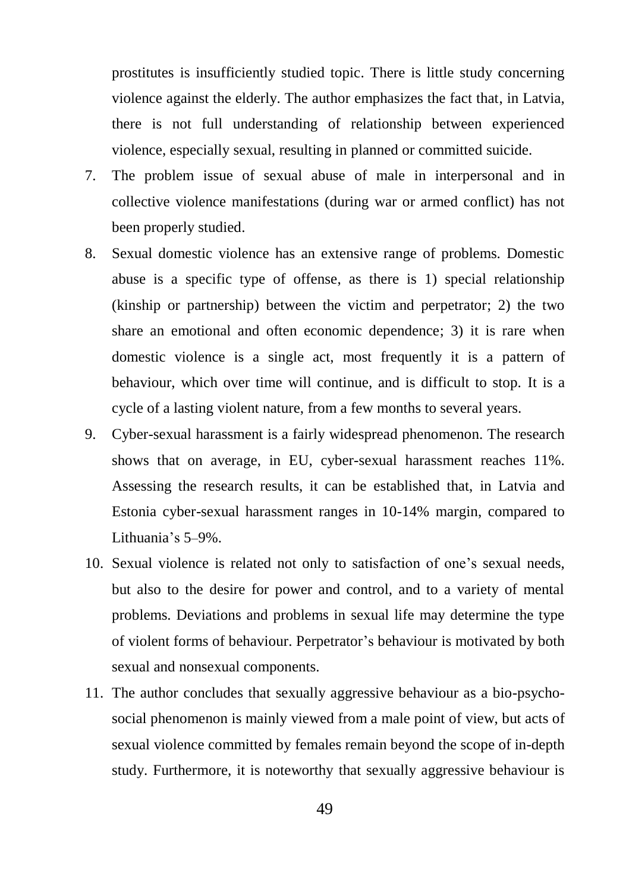prostitutes is insufficiently studied topic. There is little study concerning violence against the elderly. The author emphasizes the fact that, in Latvia, there is not full understanding of relationship between experienced violence, especially sexual, resulting in planned or committed suicide.

- 7. The problem issue of sexual abuse of male in interpersonal and in collective violence manifestations (during war or armed conflict) has not been properly studied.
- 8. Sexual domestic violence has an extensive range of problems. Domestic abuse is a specific type of offense, as there is 1) special relationship (kinship or partnership) between the victim and perpetrator; 2) the two share an emotional and often economic dependence; 3) it is rare when domestic violence is a single act, most frequently it is a pattern of behaviour, which over time will continue, and is difficult to stop. It is a cycle of a lasting violent nature, from a few months to several years.
- 9. Cyber-sexual harassment is a fairly widespread phenomenon. The research shows that on average, in EU, cyber-sexual harassment reaches 11%. Assessing the research results, it can be established that, in Latvia and Estonia cyber-sexual harassment ranges in 10-14% margin, compared to Lithuania's 5–9%.
- 10. Sexual violence is related not only to satisfaction of one's sexual needs, but also to the desire for power and control, and to a variety of mental problems. Deviations and problems in sexual life may determine the type of violent forms of behaviour. Perpetrator's behaviour is motivated by both sexual and nonsexual components.
- 11. The author concludes that sexually aggressive behaviour as a bio-psychosocial phenomenon is mainly viewed from a male point of view, but acts of sexual violence committed by females remain beyond the scope of in-depth study. Furthermore, it is noteworthy that sexually aggressive behaviour is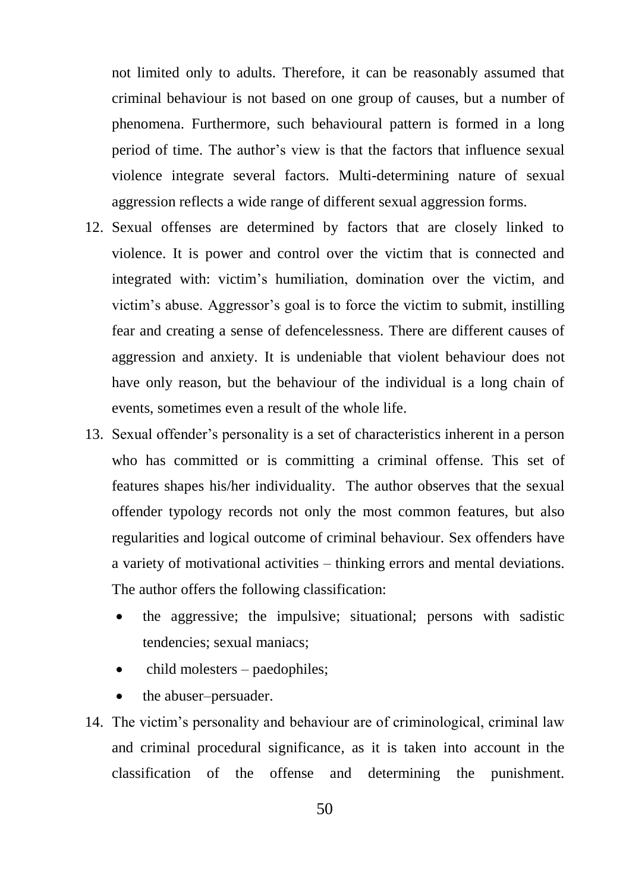not limited only to adults. Therefore, it can be reasonably assumed that criminal behaviour is not based on one group of causes, but a number of phenomena. Furthermore, such behavioural pattern is formed in a long period of time. The author's view is that the factors that influence sexual violence integrate several factors. Multi-determining nature of sexual aggression reflects a wide range of different sexual aggression forms.

- 12. Sexual offenses are determined by factors that are closely linked to violence. It is power and control over the victim that is connected and integrated with: victim's humiliation, domination over the victim, and victim's abuse. Aggressor's goal is to force the victim to submit, instilling fear and creating a sense of defencelessness. There are different causes of aggression and anxiety. It is undeniable that violent behaviour does not have only reason, but the behaviour of the individual is a long chain of events, sometimes even a result of the whole life.
- 13. Sexual offender's personality is a set of characteristics inherent in a person who has committed or is committing a criminal offense. This set of features shapes his/her individuality. The author observes that the sexual offender typology records not only the most common features, but also regularities and logical outcome of criminal behaviour. Sex offenders have a variety of motivational activities – thinking errors and mental deviations. The author offers the following classification:
	- the aggressive; the impulsive; situational; persons with sadistic tendencies; sexual maniacs;
	- child molesters paedophiles;
	- the abuser–persuader.
- 14. The victim's personality and behaviour are of criminological, criminal law and criminal procedural significance, as it is taken into account in the classification of the offense and determining the punishment.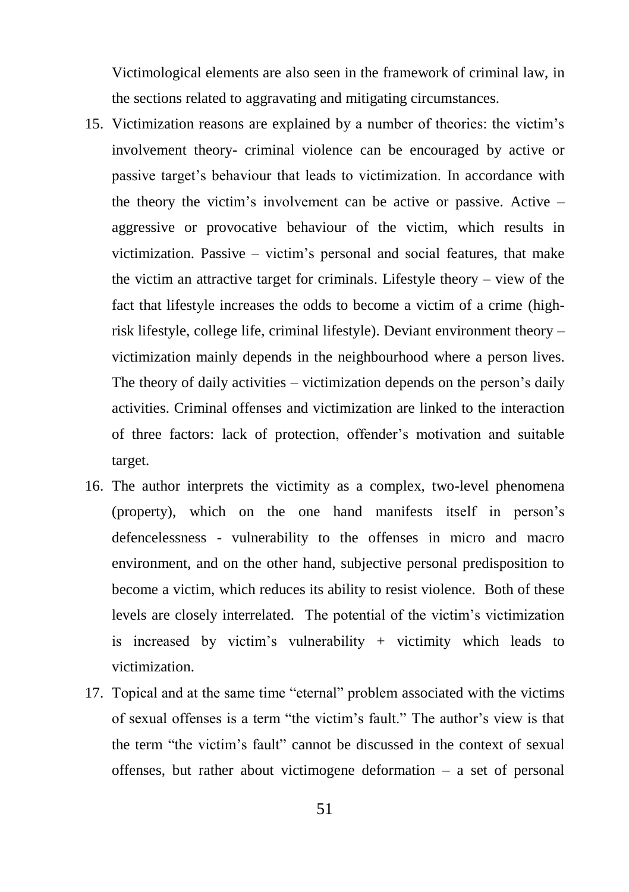Victimological elements are also seen in the framework of criminal law, in the sections related to aggravating and mitigating circumstances.

- 15. Victimization reasons are explained by a number of theories: the victim's involvement theory- criminal violence can be encouraged by active or passive target's behaviour that leads to victimization. In accordance with the theory the victim's involvement can be active or passive. Active – aggressive or provocative behaviour of the victim, which results in victimization. Passive – victim's personal and social features, that make the victim an attractive target for criminals. Lifestyle theory – view of the fact that lifestyle increases the odds to become a victim of a crime (highrisk lifestyle, college life, criminal lifestyle). Deviant environment theory – victimization mainly depends in the neighbourhood where a person lives. The theory of daily activities – victimization depends on the person's daily activities. Criminal offenses and victimization are linked to the interaction of three factors: lack of protection, offender's motivation and suitable target.
- 16. The author interprets the victimity as a complex, two-level phenomena (property), which on the one hand manifests itself in person's defencelessness - vulnerability to the offenses in micro and macro environment, and on the other hand, subjective personal predisposition to become a victim, which reduces its ability to resist violence. Both of these levels are closely interrelated. The potential of the victim's victimization is increased by victim's vulnerability  $+$  victimity which leads to victimization.
- 17. Topical and at the same time "eternal" problem associated with the victims of sexual offenses is a term "the victim's fault." The author's view is that the term "the victim's fault" cannot be discussed in the context of sexual offenses, but rather about victimogene deformation – a set of personal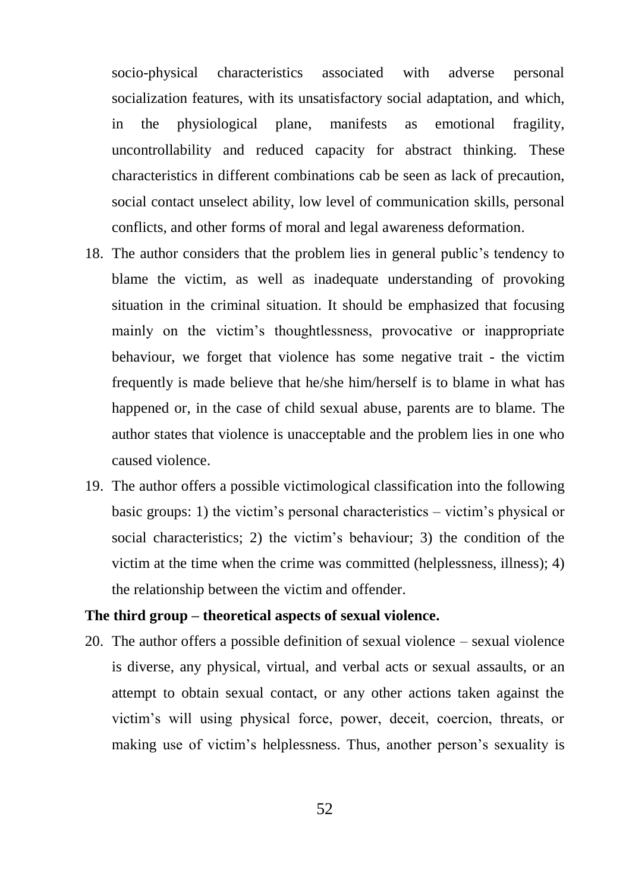socio-physical characteristics associated with adverse personal socialization features, with its unsatisfactory social adaptation, and which, in the physiological plane, manifests as emotional fragility, uncontrollability and reduced capacity for abstract thinking. These characteristics in different combinations cab be seen as lack of precaution, social contact unselect ability, low level of communication skills, personal conflicts, and other forms of moral and legal awareness deformation.

- 18. The author considers that the problem lies in general public's tendency to blame the victim, as well as inadequate understanding of provoking situation in the criminal situation. It should be emphasized that focusing mainly on the victim's thoughtlessness, provocative or inappropriate behaviour, we forget that violence has some negative trait - the victim frequently is made believe that he/she him/herself is to blame in what has happened or, in the case of child sexual abuse, parents are to blame. The author states that violence is unacceptable and the problem lies in one who caused violence.
- 19. The author offers a possible victimological classification into the following basic groups: 1) the victim's personal characteristics – victim's physical or social characteristics; 2) the victim's behaviour; 3) the condition of the victim at the time when the crime was committed (helplessness, illness); 4) the relationship between the victim and offender.

#### **The third group – theoretical aspects of sexual violence.**

20. The author offers a possible definition of sexual violence – sexual violence is diverse, any physical, virtual, and verbal acts or sexual assaults, or an attempt to obtain sexual contact, or any other actions taken against the victim's will using physical force, power, deceit, coercion, threats, or making use of victim's helplessness. Thus, another person's sexuality is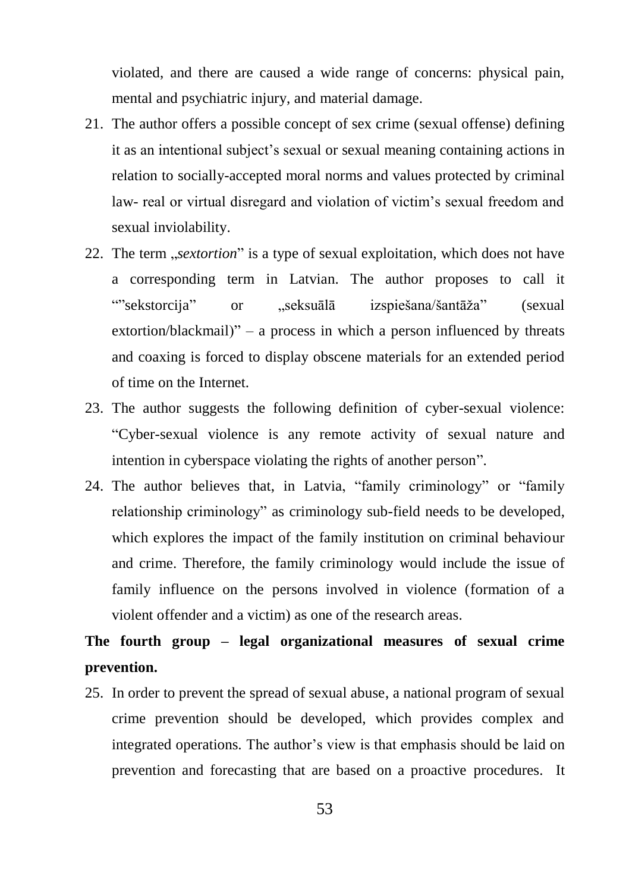violated, and there are caused a wide range of concerns: physical pain, mental and psychiatric injury, and material damage.

- 21. The author offers a possible concept of sex crime (sexual offense) defining it as an intentional subject's sexual or sexual meaning containing actions in relation to socially-accepted moral norms and values protected by criminal law- real or virtual disregard and violation of victim's sexual freedom and sexual inviolability.
- 22. The term *sextortion*" is a type of sexual exploitation, which does not have a corresponding term in Latvian. The author proposes to call it ""sekstorcija" or "seksuālā izspiešana/šantāža" (sexual extortion/blackmail)" – a process in which a person influenced by threats and coaxing is forced to display obscene materials for an extended period of time on the Internet.
- 23. The author suggests the following definition of cyber-sexual violence: "Cyber-sexual violence is any remote activity of sexual nature and intention in cyberspace violating the rights of another person".
- 24. The author believes that, in Latvia, "family criminology" or "family relationship criminology" as criminology sub-field needs to be developed, which explores the impact of the family institution on criminal behaviour and crime. Therefore, the family criminology would include the issue of family influence on the persons involved in violence (formation of a violent offender and a victim) as one of the research areas.

# **The fourth group – legal organizational measures of sexual crime prevention.**

25. In order to prevent the spread of sexual abuse, a national program of sexual crime prevention should be developed, which provides complex and integrated operations. The author's view is that emphasis should be laid on prevention and forecasting that are based on a proactive procedures. It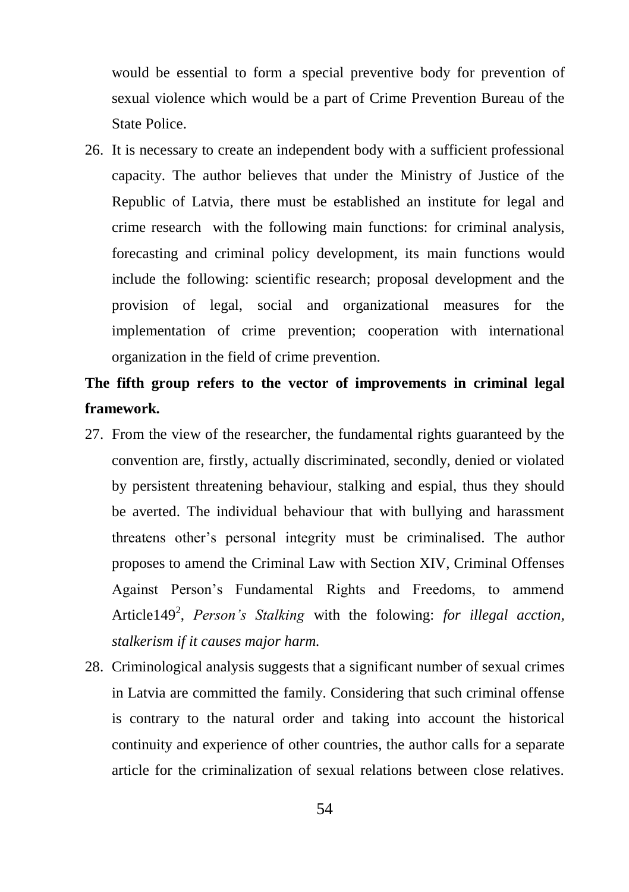would be essential to form a special preventive body for prevention of sexual violence which would be a part of Crime Prevention Bureau of the State Police.

26. It is necessary to create an independent body with a sufficient professional capacity. The author believes that under the Ministry of Justice of the Republic of Latvia, there must be established an institute for legal and crime research with the following main functions: for criminal analysis, forecasting and criminal policy development, its main functions would include the following: scientific research; proposal development and the provision of legal, social and organizational measures for the implementation of crime prevention; cooperation with international organization in the field of crime prevention.

# **The fifth group refers to the vector of improvements in criminal legal framework.**

- 27. From the view of the researcher, the fundamental rights guaranteed by the convention are, firstly, actually discriminated, secondly, denied or violated by persistent threatening behaviour, stalking and espial, thus they should be averted. The individual behaviour that with bullying and harassment threatens other's personal integrity must be criminalised. The author proposes to amend the Criminal Law with Section XIV, Criminal Offenses Against Person's Fundamental Rights and Freedoms, to ammend Article149<sup>2</sup>, *Person's Stalking* with the folowing: *for illegal acction*, *stalkerism if it causes major harm.*
- 28. Criminological analysis suggests that a significant number of sexual crimes in Latvia are committed the family. Considering that such criminal offense is contrary to the natural order and taking into account the historical continuity and experience of other countries, the author calls for a separate article for the criminalization of sexual relations between close relatives.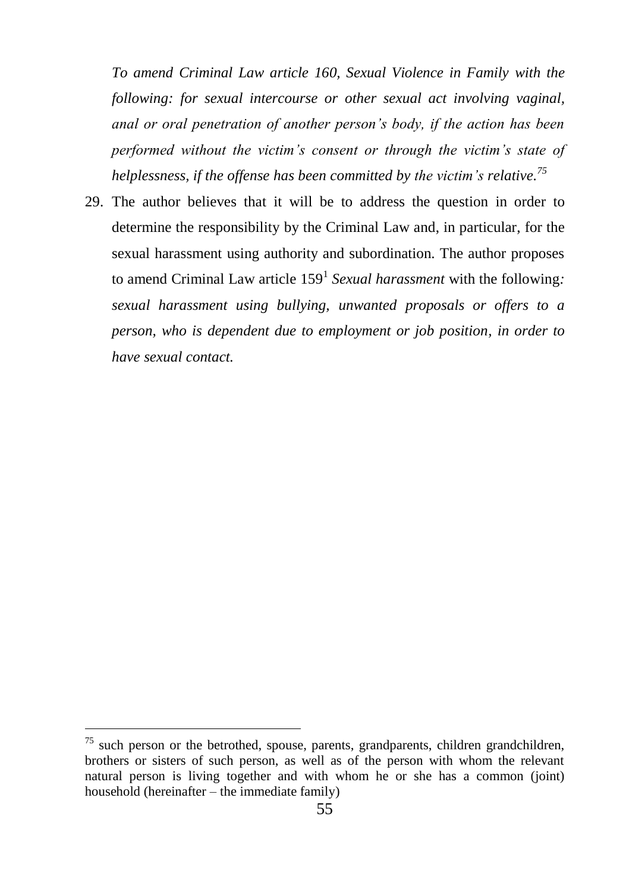*To amend Criminal Law article 160, Sexual Violence in Family with the following: for sexual intercourse or other sexual act involving vaginal, anal or oral penetration of another person's body, if the action has been performed without the victim's consent or through the victim's state of helplessness, if the offense has been committed by the victim's relative.<sup>75</sup>*

29. The author believes that it will be to address the question in order to determine the responsibility by the Criminal Law and, in particular, for the sexual harassment using authority and subordination. The author proposes to amend Criminal Law article 159<sup>1</sup> Sexual harassment with the following: *sexual harassment using bullying, unwanted proposals or offers to a person, who is dependent due to employment or job position, in order to have sexual contact.* 

 $75$  such person or the betrothed, spouse, parents, grandparents, children grandchildren, brothers or sisters of such person, as well as of the person with whom the relevant natural person is living together and with whom he or she has a common (joint) household (hereinafter – the immediate family)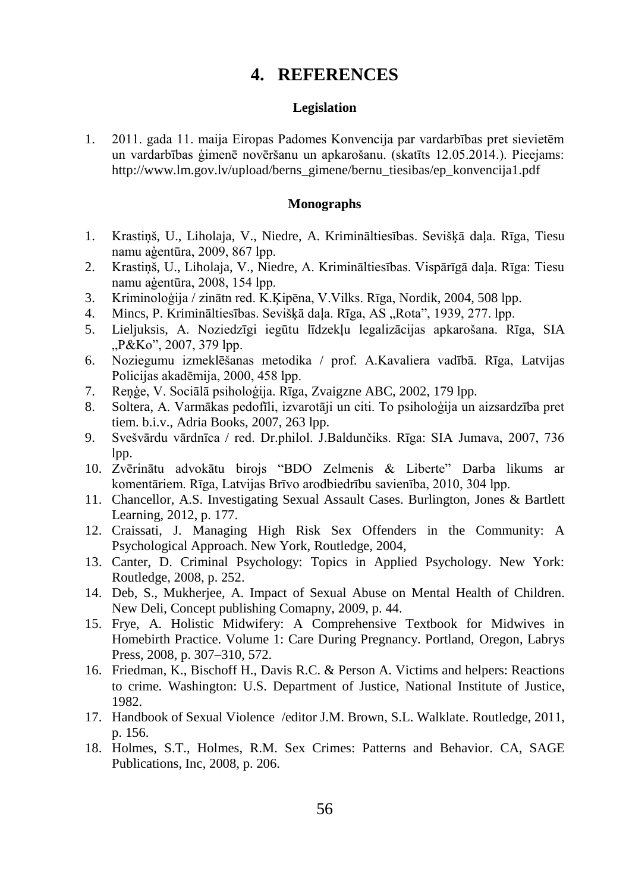# **4. REFERENCES**

#### **Legislation**

<span id="page-56-0"></span>1. 2011. gada 11. maija Eiropas Padomes Konvencija par vardarbības pret sievietēm un vardarbības ģimenē novēršanu un apkarošanu. (skatīts 12.05.2014.). Pieejams: [http://www.lm.gov.lv/upload/berns\\_gimene/bernu\\_tiesibas/ep\\_konvencija1.pdf](http://www.lm.gov.lv/upload/berns_gimene/bernu_tiesibas/ep_konvencija1.pdf)

#### **Monographs**

- 1. Krastiņš, U., Liholaja, V., Niedre, A. Krimināltiesības. Sevišķā daļa. Rīga, Tiesu namu aģentūra, 2009, 867 lpp.
- 2. Krastiņš, U., Liholaja, V., Niedre, A. Krimināltiesības. Vispārīgā daļa. Rīga: Tiesu namu aģentūra, 2008, 154 lpp.
- 3. Kriminoloģija / zinātn red. K.Ķipēna, V.Vilks. Rīga, Nordik, 2004, 508 lpp.
- 4. Mincs, P. Krimināltiesības. Sevišķā daļa. Rīga, AS "Rota", 1939, 277. lpp.
- 5. Lieljuksis, A. Noziedzīgi iegūtu līdzekļu legalizācijas apkarošana. Rīga, SIA "P&Ko", 2007, 379 lpp.
- 6. Noziegumu izmeklēšanas metodika / prof. A.Kavaliera vadībā. Rīga, Latvijas Policijas akadēmija, 2000, 458 lpp.
- 7. Reņģe, V. Sociālā psiholoģija. Rīga, Zvaigzne ABC, 2002, 179 lpp.
- 8. Soltera, A. Varmākas pedofīli, izvarotāji un citi. To psiholoģija un aizsardzība pret tiem. b.i.v., Adria Books, 2007, 263 lpp.
- 9. Svešvārdu vārdnīca / red. Dr.philol. J.Baldunčiks. Rīga: SIA Jumava, 2007, 736 lpp.
- 10. Zvērinātu advokātu birojs "BDO Zelmenis & Liberte" Darba likums ar komentāriem. Rīga, Latvijas Brīvo arodbiedrību savienība, 2010, 304 lpp.
- 11. Chancellor, A.S. Investigating Sexual Assault Cases. Burlington, Jones & Bartlett Learning, 2012, p. 177.
- 12. Craissati, J. Managing High Risk Sex Offenders in the Community: A Psychological Approach. New York, Routledge, 2004,
- 13. Canter, D. Criminal Psychology: Topics in Applied Psychology. New York: Routledge, 2008, p. 252.
- 14. Deb, S., Mukherjee, A. Impact of Sexual Abuse on Mental Health of Children. New Deli, Concept publishing Comapny, 2009, p. 44.
- 15. Frye, A. Holistic Midwifery: A Comprehensive Textbook for Midwives in Homebirth Practice. Volume 1: Care During Pregnancy. Portland, Oregon, Labrys Press, 2008, p. 307–310, 572.
- 16. Friedman, K., Bischoff H., Davis R.C. & Person A. Victims and helpers: Reactions to crime*.* Washington: U.S. Department of Justice, National Institute of Justice, 1982.
- 17. Handbook of Sexual Violence /edito[r J.M. Brown,](http://www.amazon.co.uk/s/ref=ntt_athr_dp_sr_1/279-2674361-2427007?_encoding=UTF8&field-author=Jennifer%20M.%20Brown&search-alias=books-uk&sort=relevancerank) [S.L. Walklate.](http://www.amazon.co.uk/s/ref=ntt_athr_dp_sr_2/279-2674361-2427007?_encoding=UTF8&field-author=Sandra%20L.%20Walklate&search-alias=books-uk&sort=relevancerank) Routledge, 2011, p. 156.
- 18. Holmes, S.T., Holmes, R.M. Sex Crimes: Patterns and Behavior*.* CA, SAGE Publications, Inc, 2008, p. 206.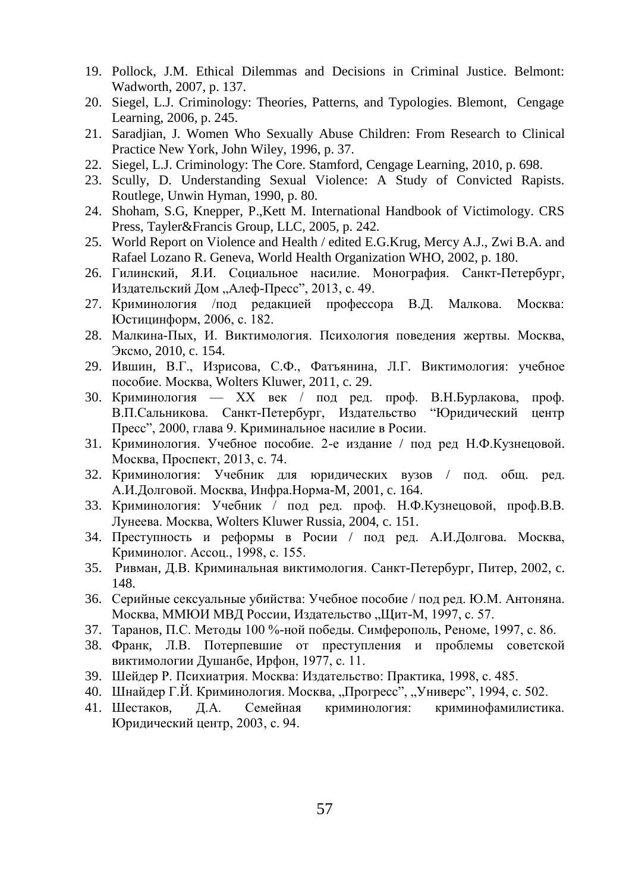- 19. Pollock, J.M. Ethical Dilemmas and Decisions in Criminal Justice. Belmont: Wadworth, 2007, p. 137.
- 20. Siegel, L.J. Criminology: Theories, Patterns, and Typologies. Blemont, Cengage Learning, 2006, p. 245.
- 21. Saradjian, J. Women Who Sexually Abuse Children: From Research to Clinical Practice New York, John Wiley, 1996, p. 37.
- 22. Siegel, L.J. Criminology: The Core. Stamford, Cengage Learning, 2010, p. 698.
- 23. Scully, D. Understanding Sexual Violence: A Study of Convicted Rapists*.*  Routlege, Unwin Hyman, 1990, p. 80.
- 24. Shoham, S.G, Knepper, P.,Kett M. International Handbook of Victimology. CRS Press, Tayler&Francis Group, LLC, 2005, p. 242.
- 25. World Report on Violence and Health / edited E.G.Krug, Mercy A.J., Zwi B.A. and Rafael Lozano R. Geneva, World Health Organization WHO, 2002, p. 180.
- 26. Гилинский, Я.И. Социальное насилие. Монография. Санкт-Пeтербуpг, Издательский Дом "Алеф-Пресс", 2013, с. 49.
- 27. Криминoлогия /под редакцией профессора В.Д. Малкова. Москва: Юстицинформ, 2006, c. 182.
- 28. Малкина-Пых, И. Виктимология. Психология поведения жертвы. Москва, [Эксмо,](http://iknigi.net/filtr-po-knigam/izdatelstvo/%D0%AD%D0%BA%D1%81%D0%BC%D0%BE/) 2010, c. 154.
- 29. Ившин, В.Г., Изрисова, С.Ф., Фатъянина, Л.Г. Виктимология: учебное пособие. Москва, Wolters Kluwer, 2011, c. 29.
- 30. Криминология XX век / под ред. проф. В.Н.Бурлакова, проф. В.П.Сальникова. Санкт-Петербург, Издательство "Юридический центр Пресс", 2000, глава 9. Kриминальное насилие в Росии.
- 31. Криминология. Учебное пособие. 2-е издание / под ред Н.Ф.Кузнецовой. Москва, Проспект, 2013, c. 74.
- 32. Криминология: Учебник для юридических вузов / под. общ. pед. A.И.Долговой. Москва, Инфра.Норма-M, 2001, c. 164.
- 33. Криминология: Учебник / под ред. проф. Н.Ф.Кузнецовой, проф.В.В. Лунеева. Москва, Wolters Kluwer Russia, 2004, c. 151.
- 34. Преступность и реформы в Росии / под ред. А.И.Долгова. Москва, Криминолог. Ассоц., 1998, c. 155.
- 35. [Ривман,](http://lib.rus.ec/a/62275) Д.В. Криминальная виктимология. Санкт-Петербург, Питер, 2002, c. 148.
- 36. Серийные сексуальные убийства: Учебное пособие / под ред. Ю.М. Антоняна. Москва, ММЮИ МВД России, Издательство "Щит-М, 1997, с. 57.
- 37. Таранов, П.С. Методы 100 %-ной победы. Симферополь, Реноме, 1997, c. 86.
- 38. Франк, Л.B. Потерпевшие от преступления и проблемы советской виктимологии Душанбе, Ирфон, 1977, c. 11.
- 39. [Шейдер Р.](http://www.labirint.ru/authors/49993/) Психиатрия. Mocквa: Издательство[: Практика,](http://www.labirint.ru/pubhouse/2289/) 1998, с. 485.
- 40. Шнайдер Г.Й. Криминология. Москва, "Прогресс", "Универс", 1994, с. 502.
- 41. Шестаков, Д.A. Ceмейная криминолoгия: криминофамилистика. Юридический центр, 2003, c. 94.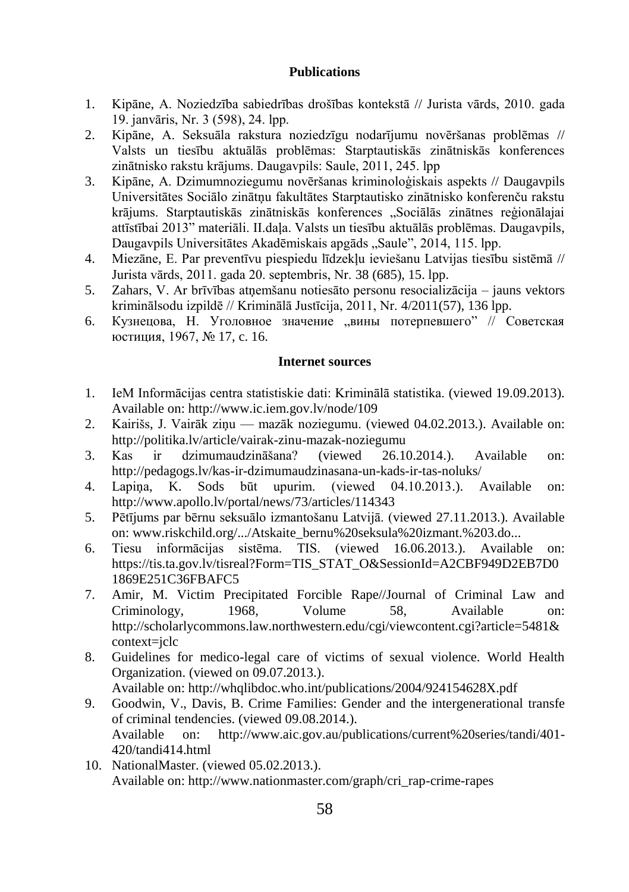### **Publications**

- 1. Kipāne, A. Noziedzība sabiedrības drošības kontekstā // Jurista vārds, 2010. gada 19. janvāris, Nr. 3 (598), 24. lpp.
- 2. Kipāne, A. Seksuāla rakstura noziedzīgu nodarījumu novēršanas problēmas // Valsts un tiesību aktuālās problēmas: Starptautiskās zinātniskās konferences zinātnisko rakstu krājums. Daugavpils: Saule, 2011, 245. lpp
- 3. Kipāne, A. Dzimumnoziegumu novēršanas kriminoloģiskais aspekts // Daugavpils Universitātes Sociālo zinātņu fakultātes Starptautisko zinātnisko konferenču rakstu krājums. Starptautiskās zinātniskās konferences "Sociālās zinātnes reģionālajai attīstībai 2013" materiāli. II daļa. Valsts un tiesību aktuālās problēmas. Daugavpils, Daugavpils Universitātes Akadēmiskais apgāds "Saule", 2014, 115. lpp.
- 4. Miezāne, E. Par preventīvu piespiedu līdzekļu ieviešanu Latvijas tiesību sistēmā // Jurista vārds, 2011. gada 20. septembris, Nr. 38 (685), 15. lpp.
- 5. Zahars, V. Ar brīvības atņemšanu notiesāto personu resocializācija jauns vektors kriminālsodu izpildē // Kriminālā Justīcija, 2011, Nr. 4/2011(57), 136 lpp.
- 6. Кузнецова, Н. Уголовное значение "вины потерпевшего" // Советская юстиция, 1967, № 17, c. 16.

### **Internet sources**

- 1. IeM Informācijas centra statistiskie dati: Kriminālā statistika. (viewed 19.09.2013). Available on[: http://www.ic.iem.gov.lv/node/109](http://www.ic.iem.gov.lv/node/109)
- 2. Kairišs, J. Vairāk ziņu mazāk noziegumu. (viewed 04.02.2013.). Available on: http://politika.lv/article/vairak-zinu-mazak-noziegumu
- 3. Kas ir dzimumaudzināšana? (viewed 26.10.2014.). Available on: http://pedagogs.lv/kas-ir-dzimumaudzinasana-un-kads-ir-tas-noluks/
- 4. Lapiņa, K. Sods būt upurim. (viewed 04.10.2013.). Available on: http://www.apollo.lv/portal/news/73/articles/114343
- 5. Pētījums par bērnu seksuālo izmantošanu Latvijā. (viewed 27.11.2013.). Available on: www.riskchild.org/.../Atskaite\_bernu%20seksula%20izmant.%203.do...
- 6. Tiesu informācijas sistēma. TIS. (viewed 16.06.2013.). Available on: [https://tis.ta.gov.lv/tisreal?Form=TIS\\_STAT\\_O&SessionId=A2CBF949D2EB7D0](https://tis.ta.gov.lv/tisreal?Form=TIS_STAT_O&SessionId=A2CBF949D2EB7D01869E251C36FBAFC5) [1869E251C36FBAFC5](https://tis.ta.gov.lv/tisreal?Form=TIS_STAT_O&SessionId=A2CBF949D2EB7D01869E251C36FBAFC5)
- 7. Amir, M. Victim Precipitated Forcible Rape//Journal of Criminal Law and Criminology, 1968, Volume 58, Available on: [http://scholarlycommons.law.northwestern.edu/cgi/viewcontent.cgi?article=5481&](http://scholarlycommons.law.northwestern.edu/cgi/viewcontent.cgi?article=5481&context=jclc) [context=jclc](http://scholarlycommons.law.northwestern.edu/cgi/viewcontent.cgi?article=5481&context=jclc)
- 8. Guidelines for medico-legal care of victims of sexual violence. World Health Organization. (viewed on 09.07.2013.). Available on: http://whqlibdoc.who.int/publications/2004/924154628X.pdf
- 9. Goodwin, V., Davis, B. Crime Families: Gender and the intergenerational transfe of criminal tendencies. (viewed 09.08.2014.). Available on: [http://www.aic.gov.au/publications/current%20series/tandi/401-](http://www.aic.gov.au/publications/current%20series/tandi/401-420/tandi414.html) [420/tandi414.html](http://www.aic.gov.au/publications/current%20series/tandi/401-420/tandi414.html)
- 10. NationalMaster. (viewed 05.02.2013.). Available on[: http://www.nationmaster.com/graph/cri\\_rap-crime-rapes](http://www.nationmaster.com/graph/cri_rap-crime-rapes)